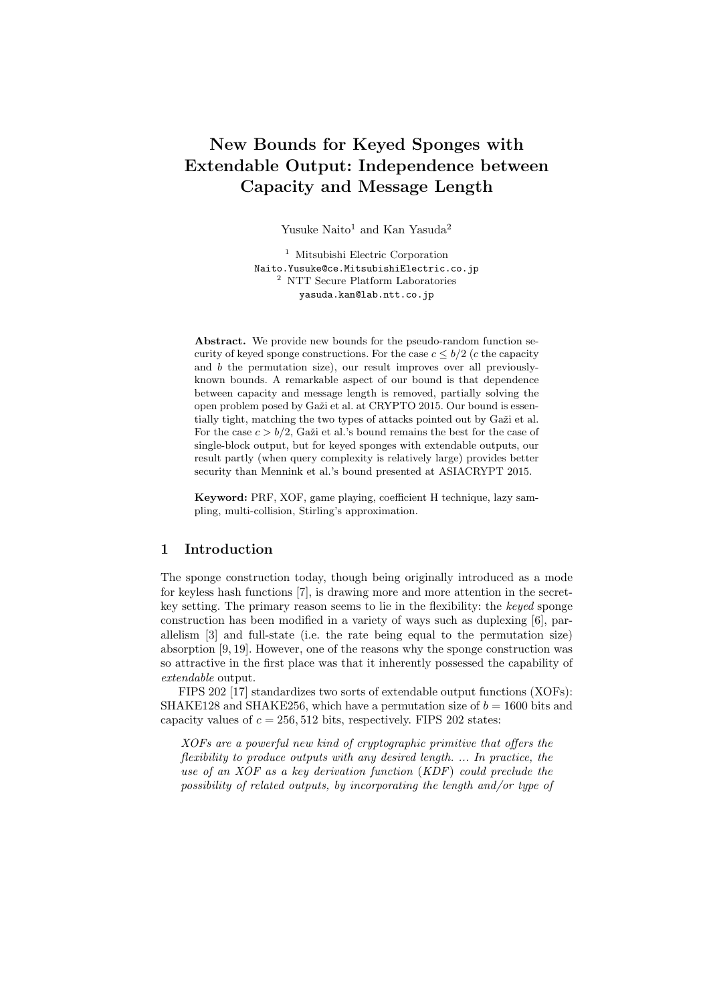# **New Bounds for Keyed Sponges with Extendable Output: Independence between Capacity and Message Length**

Yusuke Naito<sup>1</sup> and Kan Yasuda<sup>2</sup>

<sup>1</sup> Mitsubishi Electric Corporation Naito.Yusuke@ce.MitsubishiElectric.co.jp <sup>2</sup> NTT Secure Platform Laboratories yasuda.kan@lab.ntt.co.jp

**Abstract.** We provide new bounds for the pseudo-random function security of keyed sponge constructions. For the case  $c \leq b/2$  (*c* the capacity and *b* the permutation size), our result improves over all previouslyknown bounds. A remarkable aspect of our bound is that dependence between capacity and message length is removed, partially solving the open problem posed by Gaži et al. at CRYPTO 2015. Our bound is essentially tight, matching the two types of attacks pointed out by Gaži et al. For the case  $c > b/2$ , Gaži et al.'s bound remains the best for the case of single-block output, but for keyed sponges with extendable outputs, our result partly (when query complexity is relatively large) provides better security than Mennink et al.'s bound presented at ASIACRYPT 2015.

**Keyword:** PRF, XOF, game playing, coefficient H technique, lazy sampling, multi-collision, Stirling's approximation.

#### **1 Introduction**

The sponge construction today, though being originally introduced as a mode for keyless hash functions [7], is drawing more and more attention in the secretkey setting. The primary reason seems to lie in the flexibility: the *keyed* sponge construction has been modified in a variety of ways such as duplexing [6], parallelism [3] and full-state (i.e. the rate being equal to the permutation size) absorption [9, 19]. However, one of the reasons why the sponge construction was so attractive in the first place was that it inherently possessed the capability of *extendable* output.

FIPS 202 [17] standardizes two sorts of extendable output functions (XOFs): SHAKE128 and SHAKE256, which have a permutation size of  $b = 1600$  bits and capacity values of  $c = 256, 512$  bits, respectively. FIPS 202 states:

*XOFs are a powerful new kind of cryptographic primitive that offers the flexibility to produce outputs with any desired length. ... In practice, the use of an XOF as a key derivation function* (*KDF*) *could preclude the possibility of related outputs, by incorporating the length and/or type of*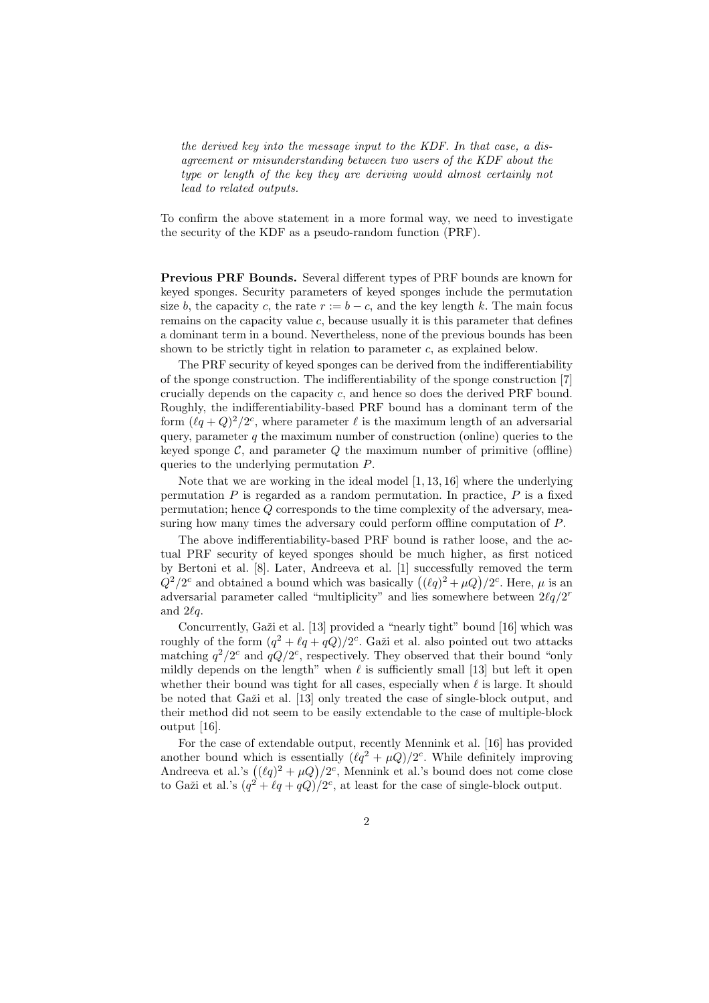*the derived key into the message input to the KDF. In that case, a disagreement or misunderstanding between two users of the KDF about the type or length of the key they are deriving would almost certainly not lead to related outputs.*

To confirm the above statement in a more formal way, we need to investigate the security of the KDF as a pseudo-random function (PRF).

**Previous PRF Bounds.** Several different types of PRF bounds are known for keyed sponges. Security parameters of keyed sponges include the permutation size *b*, the capacity *c*, the rate  $r := b - c$ , and the key length *k*. The main focus remains on the capacity value *c*, because usually it is this parameter that defines a dominant term in a bound. Nevertheless, none of the previous bounds has been shown to be strictly tight in relation to parameter *c*, as explained below.

The PRF security of keyed sponges can be derived from the indifferentiability of the sponge construction. The indifferentiability of the sponge construction [7] crucially depends on the capacity *c*, and hence so does the derived PRF bound. Roughly, the indifferentiability-based PRF bound has a dominant term of the form  $(\ell q + Q)^2/2^c$ , where parameter  $\ell$  is the maximum length of an adversarial query, parameter  $q$  the maximum number of construction (online) queries to the keyed sponge  $\mathcal{C}$ , and parameter  $\mathcal{Q}$  the maximum number of primitive (offline) queries to the underlying permutation *P*.

Note that we are working in the ideal model  $[1, 13, 16]$  where the underlying permutation  $P$  is regarded as a random permutation. In practice,  $P$  is a fixed permutation; hence *Q* corresponds to the time complexity of the adversary, measuring how many times the adversary could perform offline computation of *P*.

The above indifferentiability-based PRF bound is rather loose, and the actual PRF security of keyed sponges should be much higher, as first noticed by Bertoni et al. [8]. Later, Andreeva et al. [1] successfully removed the term  $Q^2/2^c$  and obtained a bound which was basically  $((\ell q)^2 + \mu Q)/2^c$ . Here,  $\mu$  is an adversarial parameter called "multiplicity" and lies somewhere between 2*ℓq/*2 *r* and  $2\ell q$ .

Concurrently, Gaži et al. [13] provided a "nearly tight" bound [16] which was roughly of the form  $(q^2 + \ell q + qQ)/2^c$ . Gaži et al. also pointed out two attacks matching  $q^2/2^c$  and  $qQ/2^c$ , respectively. They observed that their bound "only" mildly depends on the length" when  $\ell$  is sufficiently small [13] but left it open whether their bound was tight for all cases, especially when *ℓ* is large. It should be noted that Gaži et al. [13] only treated the case of single-block output, and their method did not seem to be easily extendable to the case of multiple-block output [16].

For the case of extendable output, recently Mennink et al. [16] has provided another bound which is essentially  $(\ell q^2 + \mu Q)/2^c$ . While definitely improving Andreeva et al.'s  $((\ell q)^2 + \mu Q)/2^c$ , Mennink et al.'s bound does not come close to Gaži et al.'s  $(q^2 + \ell q + qQ)/2^c$ , at least for the case of single-block output.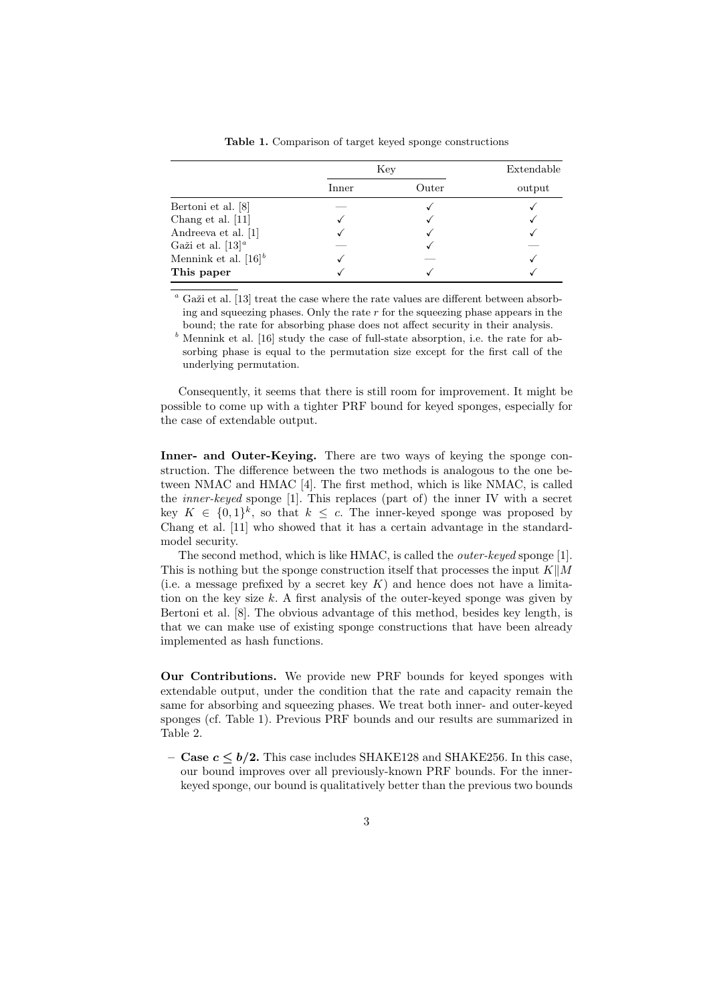|                                    | Key   |       | Extendable |
|------------------------------------|-------|-------|------------|
|                                    | Inner | Outer | output     |
| Bertoni et al. [8]                 |       |       |            |
| Chang et al. [11]                  |       |       |            |
| Andreeva et al. [1]                |       |       |            |
| Gaži et al. $[13]$ <sup>a</sup>    |       |       |            |
| Mennink et al. $[16]$ <sup>b</sup> |       |       |            |
| This paper                         |       |       |            |

**Table 1.** Comparison of target keyed sponge constructions

 $a<sup>a</sup>$  Gaži et al. [13] treat the case where the rate values are different between absorbing and squeezing phases. Only the rate *r* for the squeezing phase appears in the bound; the rate for absorbing phase does not affect security in their analysis.

*b* Mennink et al. [16] study the case of full-state absorption, i.e. the rate for absorbing phase is equal to the permutation size except for the first call of the underlying permutation.

Consequently, it seems that there is still room for improvement. It might be possible to come up with a tighter PRF bound for keyed sponges, especially for the case of extendable output.

Inner- and Outer-Keying. There are two ways of keying the sponge construction. The difference between the two methods is analogous to the one between NMAC and HMAC [4]. The first method, which is like NMAC, is called the *inner-keyed* sponge [1]. This replaces (part of) the inner IV with a secret key  $K \in \{0,1\}^k$ , so that  $k \leq c$ . The inner-keyed sponge was proposed by Chang et al. [11] who showed that it has a certain advantage in the standardmodel security.

The second method, which is like HMAC, is called the *outer-keyed* sponge [1]. This is nothing but the sponge construction itself that processes the input *K∥M* (i.e. a message prefixed by a secret key  $K$ ) and hence does not have a limitation on the key size *k*. A first analysis of the outer-keyed sponge was given by Bertoni et al. [8]. The obvious advantage of this method, besides key length, is that we can make use of existing sponge constructions that have been already implemented as hash functions.

**Our Contributions.** We provide new PRF bounds for keyed sponges with extendable output, under the condition that the rate and capacity remain the same for absorbing and squeezing phases. We treat both inner- and outer-keyed sponges (cf. Table 1). Previous PRF bounds and our results are summarized in Table 2.

**– Case** *c ≤ b/***2.** This case includes SHAKE128 and SHAKE256. In this case, our bound improves over all previously-known PRF bounds. For the innerkeyed sponge, our bound is qualitatively better than the previous two bounds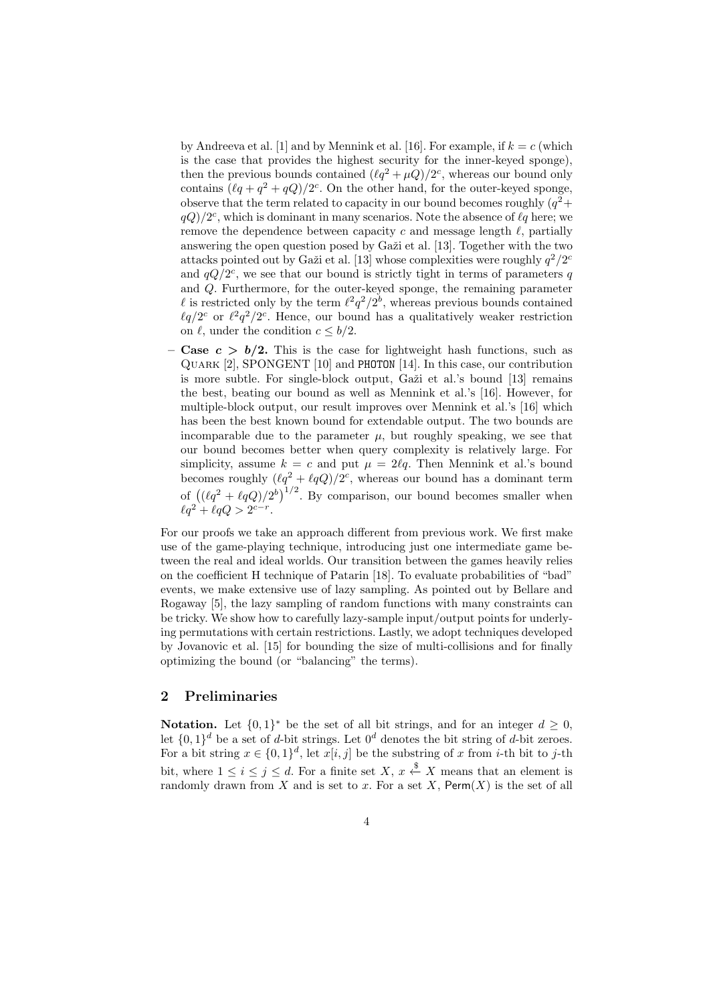by Andreeva et al. [1] and by Mennink et al. [16]. For example, if  $k = c$  (which is the case that provides the highest security for the inner-keyed sponge), then the previous bounds contained  $(\ell q^2 + \mu Q)/2^c$ , whereas our bound only contains  $(\ell q + q^2 + qQ)/2^c$ . On the other hand, for the outer-keyed sponge, observe that the term related to capacity in our bound becomes roughly  $(q^2 +$  $qQ$ )/2<sup>*c*</sup>, which is dominant in many scenarios. Note the absence of  $\ell q$  here; we remove the dependence between capacity *c* and message length *ℓ*, partially answering the open question posed by Ga $\check{z}$ i et al. [13]. Together with the two attacks pointed out by Gaži et al. [13] whose complexities were roughly  $q^2/2^c$ and  $qQ/2^c$ , we see that our bound is strictly tight in terms of parameters  $q$ and *Q*. Furthermore, for the outer-keyed sponge, the remaining parameter l is restricted only by the term  $\ell^2 q^2/2^b$ , whereas previous bounds contained  $\ell q/2^c$  or  $\ell^2 q^2/2^c$ . Hence, our bound has a qualitatively weaker restriction on  $\ell$ , under the condition  $c \leq b/2$ .

**Case**  $c > b/2$ . This is the case for lightweight hash functions, such as Quark [2], SPONGENT [10] and PHOTON [14]. In this case, our contribution is more subtle. For single-block output, Gaži et al.'s bound [13] remains the best, beating our bound as well as Mennink et al.'s [16]. However, for multiple-block output, our result improves over Mennink et al.'s [16] which has been the best known bound for extendable output. The two bounds are incomparable due to the parameter  $\mu$ , but roughly speaking, we see that our bound becomes better when query complexity is relatively large. For simplicity, assume  $k = c$  and put  $\mu = 2\ell q$ . Then Mennink et al.'s bound becomes roughly  $(\ell q^2 + \ell q Q)/2^c$ , whereas our bound has a dominant term of  $((\ell q^2 + \ell q Q)/2^b)^{1/2}$ . By comparison, our bound becomes smaller when  $\ell q^2 + \ell q Q > 2^{c-r}.$ 

For our proofs we take an approach different from previous work. We first make use of the game-playing technique, introducing just one intermediate game between the real and ideal worlds. Our transition between the games heavily relies on the coefficient H technique of Patarin [18]. To evaluate probabilities of "bad" events, we make extensive use of lazy sampling. As pointed out by Bellare and Rogaway [5], the lazy sampling of random functions with many constraints can be tricky. We show how to carefully lazy-sample input/output points for underlying permutations with certain restrictions. Lastly, we adopt techniques developed by Jovanovic et al. [15] for bounding the size of multi-collisions and for finally optimizing the bound (or "balancing" the terms).

# **2 Preliminaries**

**Notation.** Let  $\{0,1\}^*$  be the set of all bit strings, and for an integer  $d \geq 0$ , let  $\{0,1\}^d$  be a set of *d*-bit strings. Let  $0^d$  denotes the bit string of *d*-bit zeroes. For a bit string  $x \in \{0,1\}^d$ , let  $x[i, j]$  be the substring of x from *i*-th bit to j-th bit, where  $1 \leq i \leq j \leq d$ . For a finite set  $X, x \stackrel{\$}{\leftarrow} X$  means that an element is randomly drawn from *X* and is set to *x*. For a set *X*,  $\text{Perm}(X)$  is the set of all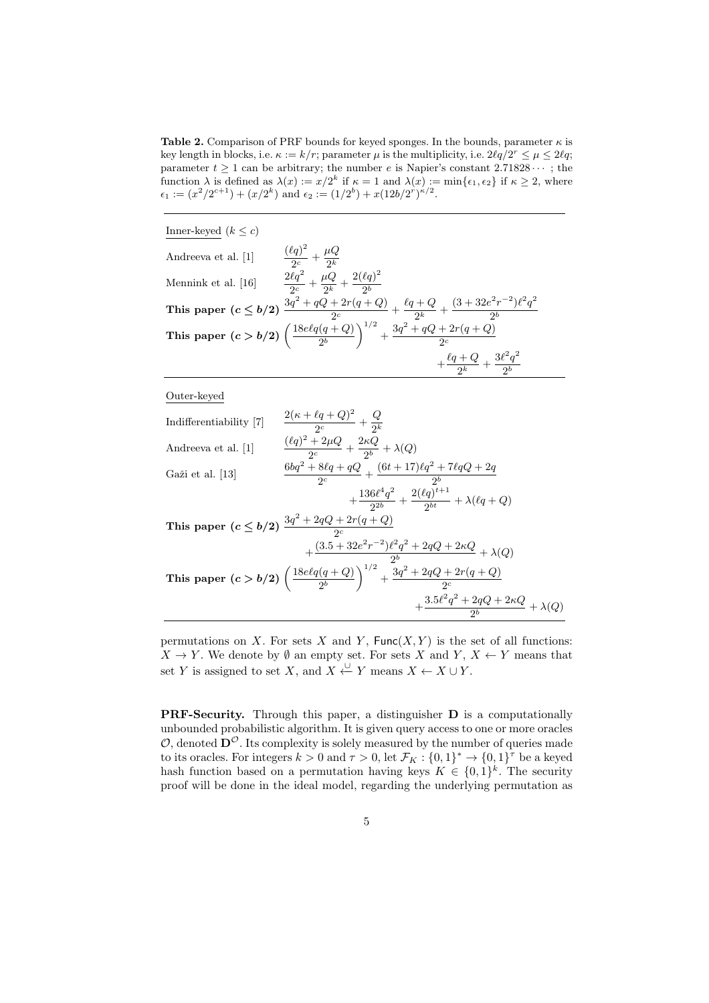**Table 2.** Comparison of PRF bounds for keyed sponges. In the bounds, parameter  $\kappa$  is key length in blocks, i.e.  $\kappa := k/r$ ; parameter  $\mu$  is the multiplicity, i.e.  $2\ell q/2^r \leq \mu \leq 2\ell q$ ; parameter  $t \geq 1$  can be arbitrary; the number *e* is Napier's constant  $2.71828 \cdots$ ; the function  $\lambda$  is defined as  $\lambda(x) := x/2^k$  if  $\kappa = 1$  and  $\lambda(x) := \min\{\epsilon_1, \epsilon_2\}$  if  $\kappa \ge 2$ , where  $\epsilon_1 := (x^2/2^{c+1}) + (x/2^k)$  and  $\epsilon_2 := (1/2^b) + x(12b/2^r)^{\kappa/2}$ .

Inner-keyed  $(k \leq c)$ 

Andreeva et al. [1]  
\n
$$
\frac{(\ell q)^2}{2^c} + \frac{\mu Q}{2^k}
$$
\nMennik et al. [16]

\n
$$
\frac{2\ell q^2}{2^c} + \frac{\mu Q}{2^k} + \frac{2(\ell q)^2}{2^b}
$$
\nThis paper  $(c \le b/2)$ 

\n
$$
\frac{3q^2 + qQ + 2r(q+Q)}{2^c} + \frac{\ell q + Q}{2^k} + \frac{(3 + 32e^2r^{-2})\ell^2 q^2}{2^b}
$$
\nThis paper  $(c > b/2)$ 

\n
$$
\left(\frac{18e\ell q(q+Q)}{2^b}\right)^{1/2} + \frac{3q^2 + qQ + 2r(q+Q)}{2^c} + \frac{\ell q + Q}{2^k} + \frac{3\ell^2 q^2}{2^b}
$$

Outer-keyed

 $Indifferentiability [7]$ 2  $\frac{\ell q + Q)^2}{2^c} + \frac{Q}{2^k}$ 2 *k* Andreeva et al. [1]  $^{2}+2\mu Q$  $rac{+2\mu Q}{2^c} + \frac{2\kappa Q}{2^b}$  $\frac{nQ}{2^b} + \lambda(Q)$ Gaži et al. [13]  $\frac{6bq^2 + 8\ell q + qQ}{2^c} + \frac{(6t + 17)\ell q^2 + 7\ell qQ + 2q}{2^b}$ 2 *b*  $+\frac{136\ell^4q^2}{23h}$  $\frac{6\ell^4q^2}{2^{2b}} + \frac{2(\ell q)^{t+1}}{2^{bt}}$  $\frac{\lambda q}{2^{bt}} + \lambda(\ell q + Q)$ This paper  $(c \le b/2) \frac{3q^2 + 2qQ + 2r(q+Q)}{2c}$ 2 *c*  $+\frac{(3.5+32e^2r^{-2})\ell^2q^2+2qQ+2\kappa Q}{2h}$  $\frac{2^{b}}{2^{b}} + \lambda(Q)$ This paper  $(c > b/2)$   $\left(\frac{18e\ell q(q+Q)}{2b}\right)$ 2 *b*  $\int_0^{1/2} + \frac{3q^2 + 2qQ + 2r(q+Q)}{2q}$ 2 *c*  $+\frac{3.5\ell^2q^2+2qQ+2\kappa Q}{2b}$  $\frac{2q\mathcal{Q}}{2^b} + \lambda(Q)$ 

permutations on *X*. For sets *X* and *Y*,  $\text{Func}(X, Y)$  is the set of all functions:  $X \to Y$ . We denote by  $\emptyset$  an empty set. For sets *X* and *Y*,  $X \leftarrow Y$  means that set *Y* is assigned to set *X*, and  $X \leftarrow Y$  means  $X \leftarrow X \cup Y$ .

**PRF-Security.** Through this paper, a distinguisher **D** is a computationally unbounded probabilistic algorithm. It is given query access to one or more oracles  $\mathcal{O}$ , denoted  $\mathbf{D}^{\mathcal{O}}$ . Its complexity is solely measured by the number of queries made to its oracles. For integers  $k > 0$  and  $\tau > 0$ , let  $\mathcal{F}_K : \{0,1\}^* \to \{0,1\}^{\tau}$  be a keyed hash function based on a permutation having keys  $K \in \{0,1\}^k$ . The security proof will be done in the ideal model, regarding the underlying permutation as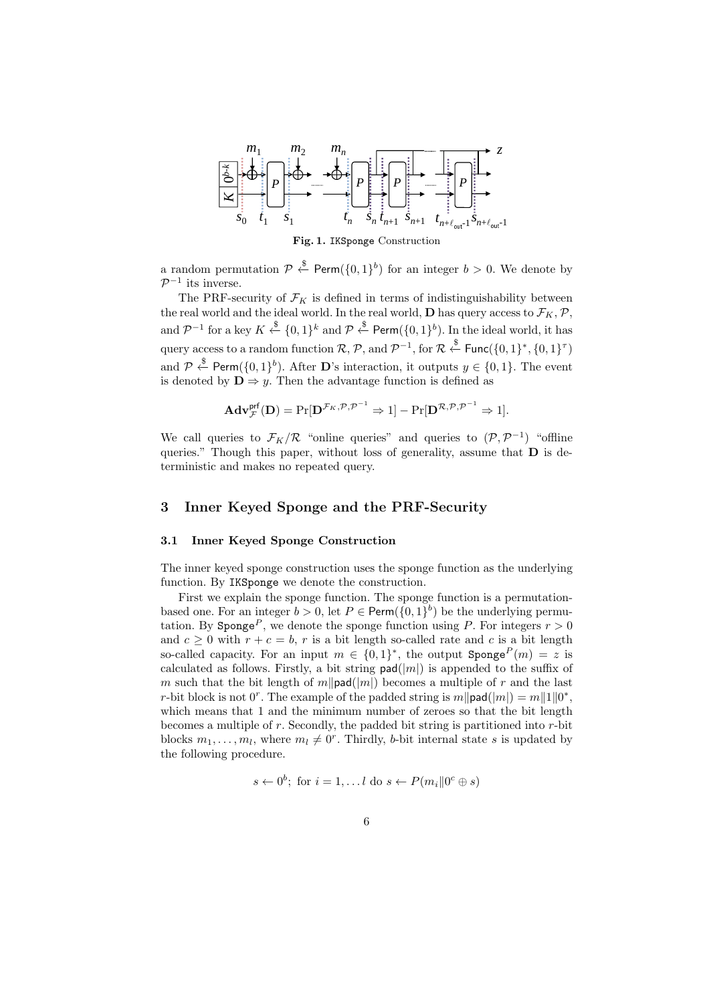

**Fig. 1.** IKSponge Construction

a random permutation  $\mathcal{P} \stackrel{\$}{\leftarrow} \text{Perm}(\{0,1\}^b)$  for an integer  $b > 0$ . We denote by *P −*1 its inverse.

The PRF-security of  $\mathcal{F}_K$  is defined in terms of indistinguishability between the real world and the ideal world. In the real world, **D** has query access to  $\mathcal{F}_K$ ,  $\mathcal{P}$ , and  $\mathcal{P}^{-1}$  for a key  $K \xleftarrow{\$} \{0,1\}^k$  and  $\mathcal{P} \xleftarrow{\$}$  Perm $(\{0,1\}^b)$ . In the ideal world, it has query access to a random function  $\mathcal{R}, \mathcal{P},$  and  $\mathcal{P}^{-1}$ , for  $\mathcal{R} \stackrel{\$}{\leftarrow}$  Func $(\{0,1\}^*, \{0,1\}^{\tau})$ and  $\mathcal{P} \stackrel{\$}{\leftarrow}$  Perm({0,1}<sup>b</sup>). After **D**'s interaction, it outputs  $y \in \{0,1\}$ . The event is denoted by  $\mathbf{D} \Rightarrow y$ . Then the advantage function is defined as

$$
\mathbf{Adv}_{\mathcal{F}}^{\mathsf{prf}}(\mathbf{D}) = \Pr[\mathbf{D}^{\mathcal{F}_{K}, \mathcal{P}, \mathcal{P}^{-1}} \Rightarrow 1] - \Pr[\mathbf{D}^{\mathcal{R}, \mathcal{P}, \mathcal{P}^{-1}} \Rightarrow 1].
$$

We call queries to  $\mathcal{F}_K/\mathcal{R}$  "online queries" and queries to  $(\mathcal{P}, \mathcal{P}^{-1})$  "offline queries." Though this paper, without loss of generality, assume that **D** is deterministic and makes no repeated query.

## **3 Inner Keyed Sponge and the PRF-Security**

#### **3.1 Inner Keyed Sponge Construction**

The inner keyed sponge construction uses the sponge function as the underlying function. By IKSponge we denote the construction.

First we explain the sponge function. The sponge function is a permutationbased one. For an integer  $b > 0$ , let  $P \in \text{Perm}(\{0, 1\}^b)$  be the underlying permutation. By Sponge<sup>P</sup>, we denote the sponge function using P. For integers  $r > 0$ and  $c \geq 0$  with  $r + c = b$ , *r* is a bit length so-called rate and *c* is a bit length so-called capacity. For an input  $m \in \{0,1\}^*$ , the output Sponge<sup>*P*</sup>(*m*) = *z* is calculated as follows. Firstly, a bit string  $pad(|m|)$  is appended to the suffix of *m* such that the bit length of *m∥*pad(*|m|*) becomes a multiple of *r* and the last *r*-bit block is not 0<sup>*r*</sup>. The example of the padded string is  $m||pad(|m|) = m||1||0^*$ , which means that 1 and the minimum number of zeroes so that the bit length becomes a multiple of *r*. Secondly, the padded bit string is partitioned into *r*-bit blocks  $m_1, \ldots, m_l$ , where  $m_l \neq 0^r$ . Thirdly, *b*-bit internal state *s* is updated by the following procedure.

$$
s \leftarrow 0^b
$$
; for  $i = 1, \ldots l$  do  $s \leftarrow P(m_i || 0^c \oplus s)$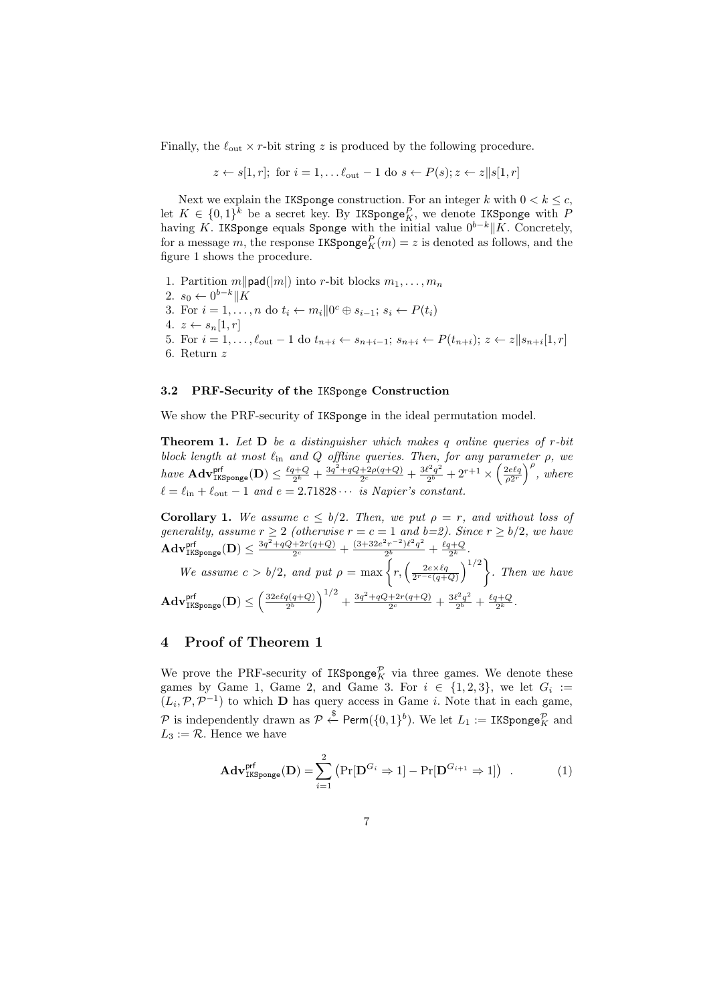Finally, the  $\ell_{\text{out}} \times r$ -bit string *z* is produced by the following procedure.

$$
z \leftarrow s[1, r]; \text{ for } i = 1, \dots \ell_{\text{out}} - 1 \text{ do } s \leftarrow P(s); z \leftarrow z \Vert s[1, r]
$$

Next we explain the IKS ponge construction. For an integer  $k$  with  $0 < k \leq c$ , let  $K \in \{0,1\}^k$  be a secret key. By IKSponge $^P_K$ , we denote IKSponge with  $P$ having *K*. IKSponge equals Sponge with the initial value 0*<sup>b</sup>−<sup>k</sup>∥K*. Concretely, for a message *m*, the response IKSponge<sup>*P*</sup><sub>K</sub> $(m) = z$  is denoted as follows, and the figure 1 shows the procedure.

- 1. Partition  $m||pad(|m|)$  into *r*-bit blocks  $m_1, \ldots, m_n$
- 2.  $s_0 \leftarrow 0^{b-k}$  ||K
- 3. For  $i = 1, ..., n$  do  $t_i \leftarrow m_i || 0^c \oplus s_{i-1}; s_i \leftarrow P(t_i)$
- 4.  $z \leftarrow s_n[1, r]$
- 5. For  $i = 1, ..., \ell_{\text{out}} 1$  do  $t_{n+i} \leftarrow s_{n+i-1}; s_{n+i} \leftarrow P(t_{n+i}); z \leftarrow z \mid |s_{n+i}[1, r]|$ 6. Return *z*

#### **3.2 PRF-Security of the** IKSponge **Construction**

We show the PRF-security of IKSponge in the ideal permutation model.

**Theorem 1.** *Let* **D** *be a distinguisher which makes q online queries of r-bit block length at most ℓ*in *and Q offline queries. Then, for any parameter ρ, we*  $have$   $\mathbf{Adv}_{\text{IKSponge}}^{\text{prf}}(\mathbf{D}) \leq \frac{\ell q + Q}{2^{k}}$  $\frac{q+Q}{2^k} + \frac{3q^2+qQ+2\rho(q+Q)}{2^c}$  $\frac{+2\rho(q+Q)}{2^c}+\frac{3\ell^2q^2}{2^b}$  $\frac{e^{2}q^{2}}{2^{b}} + 2^{r+1} \times \left(\frac{2e\ell q}{\rho 2^{r}}\right)^{\rho}, where$  $\ell = \ell_{\text{in}} + \ell_{\text{out}} - 1$  *and*  $e = 2.71828 \cdots$  *is Napier's constant.* 

**Corollary 1.** We assume  $c \leq b/2$ . Then, we put  $\rho = r$ , and without loss of *generality, assume*  $r \geq 2$  *(otherwise*  $r = c = 1$  *and*  $b=2$ *). Since*  $r \geq b/2$ *, we have*  $\mathbf{Adv}_{\mathsf{IKSponge}}^{\mathsf{prf}}(\mathbf{D}) \leq \frac{3q^2 + qQ + 2r(q+Q)}{2^c}$  $\frac{+2r(q+Q)}{2^c} + \frac{(3+32e^2r^{-2})\ell^2q^2}{2^b}$  $\frac{\ell_1 e^{-2} \ell_2 e^{2}}{2^b} + \frac{\ell_1 e}{2^k}$  $\frac{l+Q}{2^k}$ .

We assume 
$$
c > b/2
$$
, and put  $\rho = \max \left\{ r, \left( \frac{2e \times \ell q}{2^{r-c}(q+Q)} \right)^{1/2} \right\}$ . Then we have  
\n
$$
\mathbf{Adv}_{\text{IKSponge}}^{\text{prf}}(\mathbf{D}) \leq \left( \frac{32e\ell q(q+Q)}{2^b} \right)^{1/2} + \frac{3q^2 + qQ + 2r(q+Q)}{2^c} + \frac{3\ell^2 q^2}{2^b} + \frac{\ell q + Q}{2^k}.
$$

#### **4 Proof of Theorem 1**

We prove the PRF-security of  $IKSponge_K^{\mathcal{P}}$  via three games. We denote these games by Game 1, Game 2, and Game 3. For  $i \in \{1,2,3\}$ , we let  $G_i :=$  $(L_i, \mathcal{P}, \mathcal{P}^{-1})$  to which **D** has query access in Game *i*. Note that in each game, *P* is independently drawn as  $\mathcal{P} \overset{\$}{\leftarrow}$  Perm({0,1}<sup>b</sup>). We let  $L_1 := \texttt{IKSponge}_K^{\mathcal{P}}$  and  $L_3 := \mathcal{R}$ . Hence we have

$$
\mathbf{Adv}_{\mathrm{IKSponge}}^{\mathrm{prf}}(\mathbf{D}) = \sum_{i=1}^{2} \left( \Pr[\mathbf{D}^{G_i} \Rightarrow 1] - \Pr[\mathbf{D}^{G_{i+1}} \Rightarrow 1] \right) . \tag{1}
$$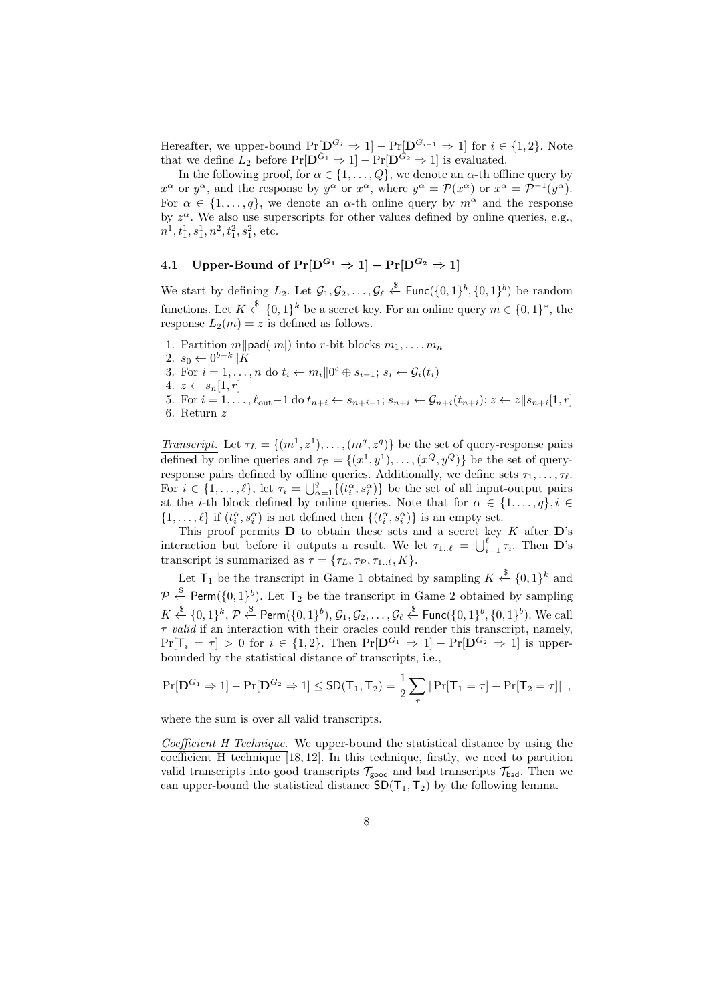Hereafter, we upper-bound  $Pr[\mathbf{D}^{G_i} \Rightarrow 1] - Pr[\mathbf{D}^{G_{i+1}} \Rightarrow 1]$  for  $i \in \{1, 2\}$ . Note that we define  $L_2$  before  $Pr[\mathbf{D}^{G_1} \Rightarrow 1] - Pr[\mathbf{D}^{G_2} \Rightarrow 1]$  is evaluated.

In the following proof, for  $\alpha \in \{1, \ldots, Q\}$ , we denote an  $\alpha$ -th offline query by *x*<sup>α</sup> or *y*<sup>α</sup>, and the response by *y*<sup>α</sup> or *x*<sup>α</sup>, where  $y^{\alpha} = \mathcal{P}(x^{\alpha})$  or  $x^{\alpha} = \mathcal{P}^{-1}(y^{\alpha})$ . For  $\alpha \in \{1, \ldots, q\}$ , we denote an  $\alpha$ -th online query by  $m^{\alpha}$  and the response by  $z^{\alpha}$ . We also use superscripts for other values defined by online queries, e.g.,  $n^1, t_1^1, s_1^1, n^2, t_1^2, s_1^2$ , etc.

# **4.1 Upper-Bound of Pr[D***<sup>G</sup>***<sup>1</sup>** *<sup>⇒</sup>* **1]** *<sup>−</sup>* **Pr[D***<sup>G</sup>***<sup>2</sup>** *<sup>⇒</sup>* **1]**

We start by defining  $L_2$ . Let  $\mathcal{G}_1, \mathcal{G}_2, \ldots, \mathcal{G}_{\ell} \stackrel{\$}{\leftarrow} \text{Func}(\{0,1\}^b, \{0,1\}^b)$  be random functions. Let  $K \stackrel{\$}{\leftarrow} \{0,1\}^k$  be a secret key. For an online query  $m \in \{0,1\}^*$ , the response  $L_2(m) = z$  is defined as follows.

- 1. Partition  $m||pad(|m|)$  into *r*-bit blocks  $m_1, \ldots, m_n$
- 2.  $s_0 \leftarrow 0^{b-k}$  ||**K**
- 3. For  $i = 1, ..., n$  do  $t_i \leftarrow m_i || 0^c \oplus s_{i-1}; s_i \leftarrow \mathcal{G}_i(t_i)$
- 4.  $z \leftarrow s_n[1, r]$
- 5. For  $i = 1, ..., \ell_{\text{out}} 1$  do  $t_{n+i} \leftarrow s_{n+i-1}; s_{n+i} \leftarrow \mathcal{G}_{n+i}(t_{n+i}); z \leftarrow z \mid s_{n+i}[1, r]$ 6. Return *z*

*Transcript.* Let  $\tau_L = \{(m^1, z^1), \ldots, (m^q, z^q)\}\$ be the set of query-response pairs defined by online queries and  $\tau_{\mathcal{P}} = \{(x^1, y^1), \dots, (x^Q, y^Q)\}\)$  be the set of queryresponse pairs defined by offline queries. Additionally, we define sets  $\tau_1, \ldots, \tau_\ell$ . For  $i \in \{1, ..., \ell\}$ , let  $\tau_i = \bigcup_{\alpha=1}^q \{ (t_i^{\alpha}, s_i^{\alpha}) \}$  be the set of all input-output pairs at the *i*-th block defined by online queries. Note that for  $\alpha \in \{1, \ldots, q\}, i \in$  $\{1, \ldots, \ell\}$  if  $(t_i^{\alpha}, s_i^{\alpha})$  is not defined then  $\{(t_i^{\alpha}, s_i^{\alpha})\}$  is an empty set.

This proof permits **D** to obtain these sets and a secret key  $K$  after  $D$ 's interaction but before it outputs a result. We let  $\tau_{1..\ell} = \bigcup_{i=1}^{\ell} \tau_i$ . Then **D**'s transcript is summarized as  $\tau = {\tau_L, \tau_P, \tau_{1..\ell}, K}$ .

Let  $\mathsf{T}_1$  be the transcript in Game 1 obtained by sampling  $K \xleftarrow{\$} \{0,1\}^k$  and *P*  $\stackrel{\$}{\leftarrow}$  Perm({0,1}<sup>b</sup>). Let T<sub>2</sub> be the transcript in Game 2 obtained by sampling  $K\overset{\$}{\leftarrow}\{0,1\}^k,$   $\mathcal{P}\overset{\$}{\leftarrow}$  Perm $(\{0,1\}^b),$   $\mathcal{G}_1, \mathcal{G}_2, \ldots, \mathcal{G}_{\ell} \overset{\$}{\leftarrow}$  Func $(\{0,1\}^b, \{0,1\}^b).$  We call *τ valid* if an interaction with their oracles could render this transcript, namely,  $Pr[\mathsf{T}_i = \tau] > 0$  for  $i \in \{1, 2\}$ . Then  $Pr[\mathbf{D}^{G_1} \Rightarrow 1] - Pr[\mathbf{D}^{G_2} \Rightarrow 1]$  is upperbounded by the statistical distance of transcripts, i.e.,

$$
\Pr[\mathbf{D}^{G_1}\Rightarrow 1]-\Pr[\mathbf{D}^{G_2}\Rightarrow 1]\leq \mathsf{SD}(\mathsf{T}_1,\mathsf{T}_2)=\frac{1}{2}\sum_{\tau}|\Pr[\mathsf{T}_1=\tau]-\Pr[\mathsf{T}_2=\tau]|~,
$$

where the sum is over all valid transcripts.

*Coefficient H Technique.* We upper-bound the statistical distance by using the coefficient H technique  $[18, 12]$ . In this technique, firstly, we need to partition valid transcripts into good transcripts  $\mathcal{T}_{\text{good}}$  and bad transcripts  $\mathcal{T}_{\text{bad}}$ . Then we can upper-bound the statistical distance  $SD(T_1, T_2)$  by the following lemma.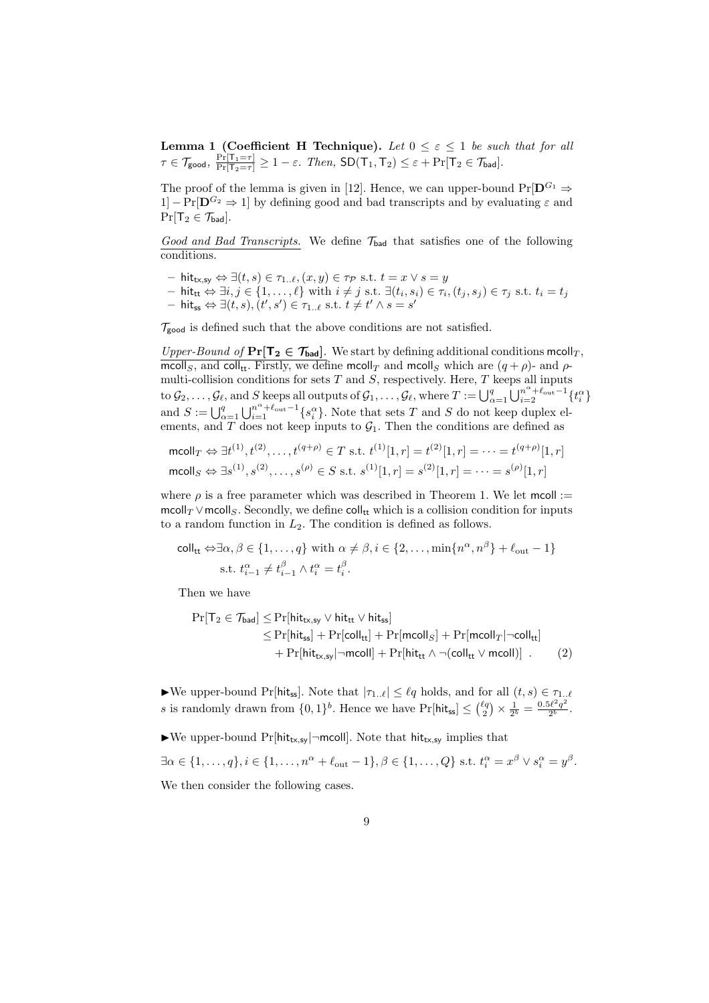**Lemma 1 (Coefficient H Technique).** *Let*  $0 \leq \varepsilon \leq 1$  *be such that for all*  $\tau \in \mathcal{T}_{\mathsf{good}}, \ \frac{\Pr[\mathsf{T}_1 = \tau]}{\Pr[\mathsf{T}_2 = \tau]} \geq 1 - \varepsilon. \ \text{Then, } \mathsf{SD}(\mathsf{T}_1, \mathsf{T}_2) \leq \varepsilon + \Pr[\mathsf{T}_2 \in \mathcal{T}_{\mathsf{bad}}].$ 

The proof of the lemma is given in [12]. Hence, we can upper-bound  $Pr[\mathbf{D}^{G_1} \Rightarrow$ 1] *−* Pr[**D***<sup>G</sup>*<sup>2</sup> *⇒* 1] by defining good and bad transcripts and by evaluating *ε* and  $Pr[T_2 \in \mathcal{T}_{bad}].$ 

*Good and Bad Transcripts.* We define *T*bad that satisfies one of the following conditions.

- **–** hittx*,*sy *⇔ ∃*(*t, s*) *∈ τ*1*..ℓ,*(*x, y*) *∈ τ<sup>P</sup>* s.t. *t* = *x ∨ s* = *y*
- $-$  hit<sub>tt</sub>  $\Leftrightarrow \exists i, j \in \{1, \ldots, \ell\}$  with  $i \neq j$  s.t.  $\exists (t_i, s_i) \in \tau_i, (t_j, s_j) \in \tau_j$  s.t.  $t_i = t_j$ **–** hitss *⇔ ∃*(*t, s*)*,*(*t ′ , s′* ) *∈ τ*1*..ℓ* s.t. *t ̸*= *t ′ ∧ s* = *s ′*
- $\mathcal{T}_{\text{good}}$  is defined such that the above conditions are not satisfied.

*Upper-Bound of*  $Pr[\mathsf{T}_2 \in \mathcal{T}_{bad}]$ *.* We start by defining additional conditions mcoll<sub>*T*</sub>, mcoll<sub>S</sub>, and coll<sub>tt</sub>. Firstly, we define mcoll<sub>*T*</sub> and mcoll<sub>*S*</sub> which are  $(q + \rho)$ - and  $\rho$ multi-collision conditions for sets *T* and *S*, respectively. Here, *T* keeps all inputs to  $\mathcal{G}_2, \ldots, \mathcal{G}_{\ell}$ , and S keeps all outputs of  $\mathcal{G}_1, \ldots, \mathcal{G}_{\ell}$ , where  $T := \bigcup_{\alpha=1}^q \bigcup_{i=2}^{n^{\alpha} + \ell_{\text{out}} - 1} \{t_i^{\alpha}\}\$ and  $S := \bigcup_{\alpha=1}^q \bigcup_{i=1}^{n^{\alpha}+\ell_{\text{out}}-1} \{s_i^{\alpha}\}\.$  Note that sets *T* and *S* do not keep duplex elements, and  $\overline{T}$  does not keep inputs to  $\mathcal{G}_1$ . Then the conditions are defined as

$$
\begin{aligned}\n\text{mcoll}_T &\Leftrightarrow \exists t^{(1)}, t^{(2)}, \dots, t^{(q+\rho)} \in T \text{ s.t. } t^{(1)}[1, r] = t^{(2)}[1, r] = \dots = t^{(q+\rho)}[1, r] \\
\text{mcoll}_S &\Leftrightarrow \exists s^{(1)}, s^{(2)}, \dots, s^{(\rho)} \in S \text{ s.t. } s^{(1)}[1, r] = s^{(2)}[1, r] = \dots = s^{(\rho)}[1, r]\n\end{aligned}
$$

where  $\rho$  is a free parameter which was described in Theorem 1. We let moll := mcoll<sub>*T*</sub>  $\vee$  mcoll<sub>*S*</sub>. Secondly, we define coll<sub>tt</sub> which is a collision condition for inputs to a random function in *L*2. The condition is defined as follows.

$$
\begin{aligned}\n\text{coll}_{\text{tt}} &\Leftrightarrow \exists \alpha, \beta \in \{1, \dots, q\} \text{ with } \alpha \neq \beta, i \in \{2, \dots, \min\{n^{\alpha}, n^{\beta}\} + \ell_{\text{out}} - 1\} \\
&\text{s.t. } t_{i-1}^{\alpha} \neq t_{i-1}^{\beta} \land t_i^{\alpha} = t_i^{\beta}.\n\end{aligned}
$$

Then we have

$$
\begin{aligned} \Pr[\mathsf{T}_2 \in \mathcal{T}_{\mathsf{bad}}] &\leq \Pr[\mathsf{hit}_{\mathsf{tx},\mathsf{sy}} \vee \mathsf{hit}_{\mathsf{tt}} \vee \mathsf{hit}_{\mathsf{ts}}] \\ &\leq \Pr[\mathsf{hit}_{\mathsf{tss}}] + \Pr[\mathsf{coll}_{\mathsf{tt}}] + \Pr[\mathsf{mcoll}_S] + \Pr[\mathsf{mcoll}_T | \neg \mathsf{coll}_{\mathsf{tt}}] \\ &\quad + \Pr[\mathsf{hit}_{\mathsf{tx},\mathsf{sy}} | \neg \mathsf{mcoll}| + \Pr[\mathsf{hit}_{\mathsf{tt}} \wedge \neg(\mathsf{coll}_{\mathsf{tt}} \vee \mathsf{mcoll})] \end{aligned} \tag{2}
$$

 $\blacktriangleright$  We upper-bound Pr[hit<sub>ss</sub>]. Note that  $|\tau_{1}$ .  $\ell| \leq \ell q$  holds, and for all  $(t, s) \in \tau_{1}$ . *s* is randomly drawn from  $\{0,1\}^b$ . Hence we have  $\Pr[\text{hit}_{ss}] \leq { \ell q \choose 2} \times \frac{1}{2^b} = \frac{0.5\ell^2q^2}{2^b}$  $\frac{b\ell^2q^2}{2^b}$ .

 $\blacktriangleright$  We upper-bound Pr[hit<sub>tx,sy</sub>  $\neg$  mcoll]. Note that hit<sub>tx,sy</sub> implies that  $\exists \alpha \in \{1,\ldots,q\}, i \in \{1,\ldots,n^{\alpha}+\ell_{\text{out}}-1\}, \beta \in \{1,\ldots,Q\} \text{ s.t. } t_i^{\alpha} = x^{\beta} \vee s_i^{\alpha} = y^{\beta}.$ We then consider the following cases.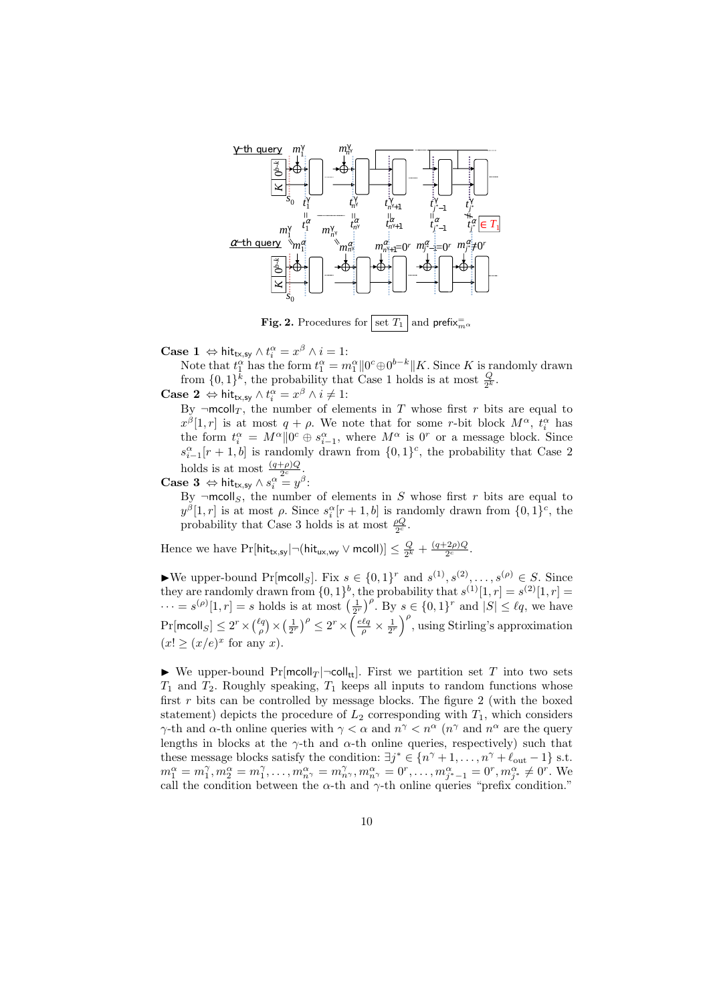

**Fig. 2.** Procedures for  $|\sec T_1|$  and  $\mathsf{prefix}_{m^\alpha}^=$ 

**Case 1**  $\Leftrightarrow$  hit<sub>tx,sy</sub>  $\wedge t_i^{\alpha} = x^{\beta} \wedge i = 1$ :

Note that  $t_1^{\alpha}$  has the form  $t_1^{\alpha} = m_1^{\alpha} || 0^c \oplus 0^{b-k} || K$ . Since K is randomly drawn from  $\{0,1\}^{\tilde{k}}$ , the probability that Case 1 holds is at most  $\frac{Q}{2^k}$ .

 $\text{Case 2} \Leftrightarrow \text{hit}_{\text{tx,sy}} \wedge t_i^{\alpha} = x^{\beta} \wedge i \neq 1$ :

By  $\neg \text{mcoll}_T$ , the number of elements in *T* whose first *r* bits are equal to  $x^{\beta}[1,r]$  is at most  $q + \rho$ . We note that for some *r*-bit block  $M^{\alpha}$ ,  $t_i^{\alpha}$  has the form  $t_i^{\alpha} = M^{\alpha} \| 0^c \oplus s_{i-1}^{\alpha},$  where  $M^{\alpha}$  is 0<sup>r</sup> or a message block. Since  $s_{i-1}^{\alpha}[r+1,b]$  is randomly drawn from  $\{0,1\}^c$ , the probability that Case 2 holds is at most  $\frac{(q+\rho)Q}{2^c}$ .

**Case 3**  $\Leftrightarrow$  hit<sub>tx,sy</sub>  $\wedge s_i^{\alpha} \stackrel{2^c}{=} y^{\beta}$ :

By  $\neg$ mcoll<sub>S</sub>, the number of elements in *S* whose first *r* bits are equal to  $y^{\beta}[1, r]$  is at most *ρ*. Since  $s_i^{\alpha}[r + 1, b]$  is randomly drawn from  $\{0, 1\}^c$ , the probability that Case 3 holds is at most  $\frac{\rho Q}{2^c}$ .

Hence we have  $Pr[\text{hit}_{\text{tx,sy}} | \neg(\text{hit}_{\text{ux,wy}} \lor \text{mcoll})] \leq \frac{Q}{2^k}$  $\frac{Q}{2^k} + \frac{(q+2\rho)Q}{2^c}$  $\frac{(2\rho)Q}{2^c}$ .

► We upper-bound  $Pr[\text{mcoll}_S]$ . Fix  $s \in \{0,1\}^r$  and  $s^{(1)}, s^{(2)}, \ldots, s^{(\rho)} \in S$ . Since they are randomly drawn from  $\{0,1\}^b$ , the probability that  $s^{(1)}[1,r] = s^{(2)}[1,r] =$  $\cdots = s^{(\rho)}[1, r] = s$  holds is at most  $\left(\frac{1}{2^r}\right)^{\rho}$ . By  $s \in \{0, 1\}^r$  and  $|S| \leq \ell q$ , we have  $\Pr[\text{mcoll}_S] \leq 2^r \times {\binom{\ell q}{\rho}} \times {\left(\frac{1}{2^r}\right)}^{\rho} \leq 2^r \times {\left(\frac{e\ell q}{\rho} \times \frac{1}{2^r}\right)}^{\rho}$ , using Stirling's approximation  $(x! \geq (x/e)^x$  for any *x*).

 $\blacktriangleright$  We upper-bound  $Pr[\text{mcoll}_T | \neg \text{coll}_{tt}]$ . First we partition set *T* into two sets *T*<sup>1</sup> and *T*2. Roughly speaking, *T*<sup>1</sup> keeps all inputs to random functions whose first *r* bits can be controlled by message blocks. The figure 2 (with the boxed statement) depicts the procedure of  $L_2$  corresponding with  $T_1$ , which considers *γ*-th and *α*-th online queries with  $\gamma < \alpha$  and  $n^{\gamma} < n^{\alpha}$  (*n*<sup>γ</sup> and  $n^{\alpha}$  are the query lengths in blocks at the  $\gamma$ -th and  $\alpha$ -th online queries, respectively) such that these message blocks satisfy the condition:  $\exists j^* \in \{n^{\gamma}+1, \ldots, n^{\gamma}+\ell_{\text{out}}-1\}$  s.t.  $m_1^{\alpha} = m_1^{\gamma}, m_2^{\alpha} = m_1^{\gamma}, \ldots, m_{n^{\gamma}}^{\alpha} = m_{n^{\gamma}}^{\gamma}, m_{n^{\gamma}}^{\alpha} = 0^r, \ldots, m_{j^*-1}^{\alpha} = 0^r, m_{j^*}^{\alpha} \neq 0^r.$  We call the condition between the  $\alpha$ -th and  $\gamma$ -th online queries "prefix condition."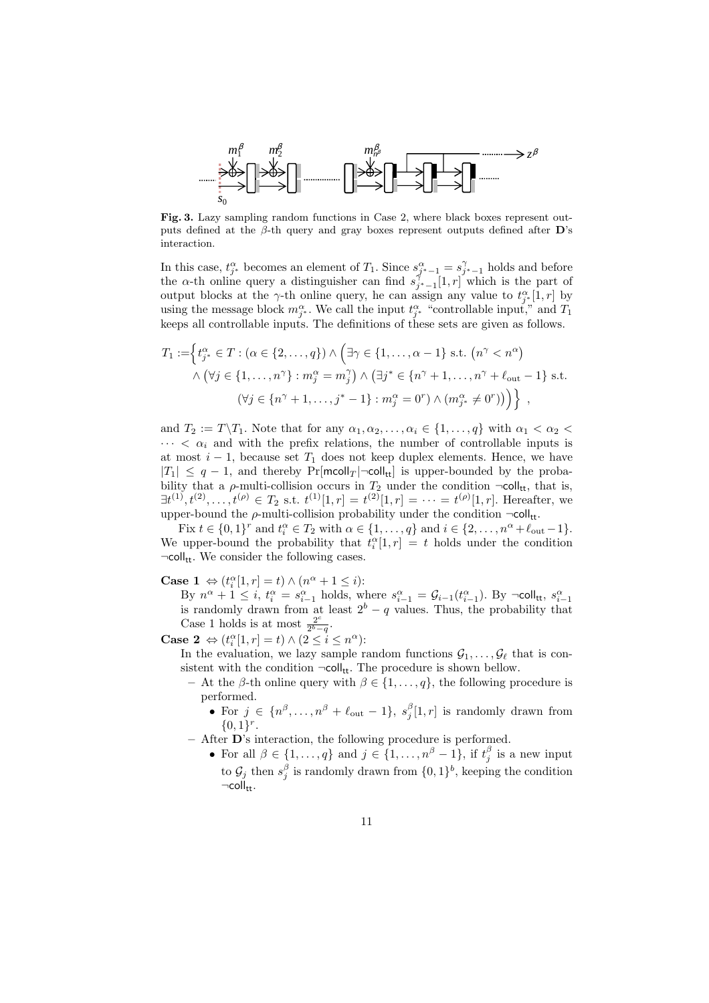

**Fig. 3.** Lazy sampling random functions in Case 2, where black boxes represent outputs defined at the *β*-th query and gray boxes represent outputs defined after **D**'s interaction.

In this case,  $t_j^{\alpha}$  becomes an element of  $T_1$ . Since  $s_{j^*-1}^{\alpha} = s_{j^*-1}^{\gamma}$  holds and before the *α*-th online query a distinguisher can find  $s_{j^*-1}^{\gamma}$ [1, *r*] which is the part of output blocks at the *γ*-th online query, he can assign any value to  $t^{\alpha}_{j^*}[1,r]$  by using the message block  $m_j^{\alpha}$ . We call the input  $t_j^{\alpha}$  "controllable input," and  $T_1$ keeps all controllable inputs. The definitions of these sets are given as follows.

$$
T_1 := \left\{ t_{j^*}^{\alpha} \in T : (\alpha \in \{2, ..., q\}) \land \left( \exists \gamma \in \{1, ..., \alpha - 1\} \text{ s.t. } (n^{\gamma} < n^{\alpha}) \land (\forall j \in \{1, ..., n^{\gamma}\} : m_j^{\alpha} = m_j^{\gamma}) \land (\exists j^* \in \{n^{\gamma} + 1, ..., n^{\gamma} + \ell_{\text{out}} - 1\} \text{ s.t. } (\forall j \in \{n^{\gamma} + 1, ..., j^* - 1\} : m_j^{\alpha} = 0^r) \land (m_{j^*}^{\alpha} \neq 0^r)) \right) \right\},
$$

and  $T_2 := T \setminus T_1$ . Note that for any  $\alpha_1, \alpha_2, \ldots, \alpha_i \in \{1, \ldots, q\}$  with  $\alpha_1 < \alpha_2 <$  $\cdots < \alpha_i$  and with the prefix relations, the number of controllable inputs is at most  $i - 1$ , because set  $T_1$  does not keep duplex elements. Hence, we have *|T*<sub>1</sub>*|* ≤ *q* − 1, and thereby Pr[ $\text{mcoll}_T$   $\text{–coll}_{tt}$ ] is upper-bounded by the probability that a  $\rho$ -multi-collision occurs in  $T_2$  under the condition  $\neg\text{coll}_{tt}$ , that is,  $\exists t^{(1)}, t^{(2)}, \ldots, t^{(\rho)} \in T_2 \text{ s.t. } t^{(1)}[1, r] = t^{(2)}[1, r] = \cdots = t^{(\rho)}[1, r].$  Hereafter, we upper-bound the  $\rho$ -multi-collision probability under the condition  $\neg \text{coll}_{tt}$ .

Fix  $t \in \{0, 1\}^r$  and  $t_i^{\alpha} \in T_2$  with  $\alpha \in \{1, ..., q\}$  and  $i \in \{2, ..., n^{\alpha} + \ell_{\text{out}} - 1\}.$ We upper-bound the probability that  $t_i^{\alpha}[1,r] = t$  holds under the condition ¬coll<sub>tt</sub>. We consider the following cases.

**Case 1**  $\Leftrightarrow (t_i^{\alpha}[1, r] = t) \land (n^{\alpha} + 1 \le i)$ :

By  $n^{\alpha} + 1 \leq i$ ,  $t_i^{\alpha} = s_{i-1}^{\alpha}$  holds, where  $s_{i-1}^{\alpha} = \mathcal{G}_{i-1}(t_{i-1}^{\alpha})$ . By  $\neg \text{coll}_{\text{tt}}, s_{i-1}^{\alpha}$ is randomly drawn from at least  $2^b - q$  values. Thus, the probability that Case 1 holds is at most  $\frac{2^c}{2^b}$  $rac{2^b}{2^b-q}$ .

**Case 2**  $\Leftrightarrow (t_i^{\alpha}[1, r] = t) \wedge (2 \leq i \leq n^{\alpha})$ :

In the evaluation, we lazy sample random functions  $\mathcal{G}_1, \ldots, \mathcal{G}_\ell$  that is consistent with the condition  $\neg\text{coll}_{tt}$ . The procedure is shown bellow.

- **–** At the *β*-th online query with *β ∈ {*1*, . . . , q}*, the following procedure is performed.
	- For  $j \in \{n^{\beta}, \ldots, n^{\beta} + \ell_{\text{out}} 1\}$ ,  $s_j^{\beta}[1, r]$  is randomly drawn from  ${0, 1}^r$ .
- **–** After **D**'s interaction, the following procedure is performed.
	- For all  $\beta \in \{1, \ldots, q\}$  and  $j \in \{1, \ldots, n^{\beta} 1\}$ , if  $t_j^{\beta}$  is a new input to  $\mathcal{G}_j$  then  $s_j^{\beta}$  is randomly drawn from  $\{0,1\}^b$ , keeping the condition  $\neg$ coll<sub>tt</sub>.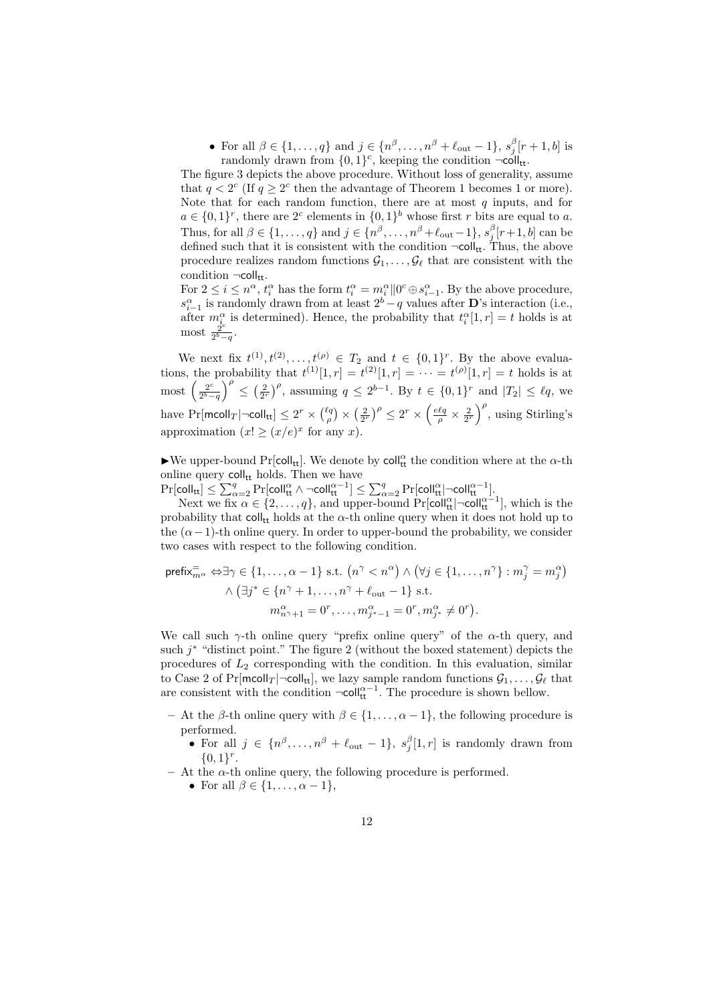• For all  $\beta \in \{1, ..., q\}$  and  $j \in \{n^{\beta}, ..., n^{\beta} + \ell_{\text{out}} - 1\}$ ,  $s_j^{\beta}[r + 1, b]$  is randomly drawn from  $\{0,1\}^c$ , keeping the condition  $\neg \text{coll}_{\text{tt}}$ .

The figure 3 depicts the above procedure. Without loss of generality, assume that  $q < 2^c$  (If  $q \geq 2^c$  then the advantage of Theorem 1 becomes 1 or more). Note that for each random function, there are at most  $q$  inputs, and for  $a \in \{0,1\}^r$ , there are  $2^c$  elements in  $\{0,1\}^b$  whose first *r* bits are equal to *a*. Thus, for all  $\beta \in \{1, \ldots, q\}$  and  $j \in \{n^{\beta}, \ldots, n^{\beta} + \ell_{\text{out}} - 1\}$ ,  $s_j^{\beta}[r+1, b]$  can be defined such that it is consistent with the condition  $\neg \text{coll}_{tt}$ . Thus, the above procedure realizes random functions  $\mathcal{G}_1, \ldots, \mathcal{G}_\ell$  that are consistent with the condition  $\neg\text{coll}_{tt}$ .

For  $2 \leq i \leq n^{\alpha}$ ,  $t_i^{\alpha}$  has the form  $t_i^{\alpha} = m_i^{\alpha} \| 0^c \oplus s_{i-1}^{\alpha}$ . By the above procedure,  $s_{i-1}^{\alpha}$  is randomly drawn from at least  $2^{b}-q$  values after **D**'s interaction (i.e., after  $m_{i}^{\alpha}$  is determined). Hence, the probability that  $t_i^{\alpha}[1,r] = t$  holds is at  $\frac{2^{c}}{2^{b}-}$  $rac{2^b}{2^b-q}$ .

We next fix  $t^{(1)}, t^{(2)}, \ldots, t^{(\rho)} \in T_2$  and  $t \in \{0,1\}^r$ . By the above evaluations, the probability that  $t^{(1)}[1, r] = t^{(2)}[1, r] = \cdots = t^{(\rho)}[1, r] = t$  holds is at most  $\left(\frac{2^c}{2^b}\right)$ 2 *<sup>b</sup>−q*  $\int_{0}^{b} \leq (\frac{2}{2^{r}})^{\rho}$ , assuming  $q \leq 2^{b-1}$ . By  $t \in \{0,1\}^{r}$  and  $|T_2| \leq \ell q$ , we have  $Pr[\text{mcoll}_T | \neg \text{coll}_{tt}] \leq 2^r \times {\ell q \choose \rho} \times (\frac{2}{2^r})^{\rho} \leq 2^r \times \left(\frac{e\ell q}{\rho} \times \frac{2}{2^r}\right)^{\rho}$ , using Stirling's approximation  $(x! \geq (x/e)^x$  for any *x*).

 $\blacktriangleright$  We upper-bound Pr[coll<sub>tt</sub>]. We denote by coll<sup>α</sup><sub>tt</sub> the condition where at the  $\alpha$ -th online query  $\text{coll}_{\text{tt}}$  holds. Then we have

 $\Pr[\mathsf{coll}_{\mathsf{tt}}] \leq \sum_{\alpha=2}^q \Pr[\mathsf{coll}_{\mathsf{tt}}^{\alpha} \wedge \neg \mathsf{coll}_{\mathsf{tt}}^{\alpha-1}] \leq \sum_{\alpha=2}^q \Pr[\mathsf{coll}_{\mathsf{tt}}^{\alpha}| \neg \mathsf{coll}_{\mathsf{tt}}^{\alpha-1}].$ 

Next we fix  $\alpha \in \{2, ..., q\}$ , and upper-bound  $Pr[col|_{tt}^{\alpha}|\neg col|_{tt}^{\alpha-1}]$ , which is the probability that  $\text{coll}_{\text{tt}}$  holds at the  $\alpha$ -th online query when it does not hold up to the  $(\alpha - 1)$ -th online query. In order to upper-bound the probability, we consider two cases with respect to the following condition.

$$
\begin{aligned} \textrm{prefix}^=_{m^\alpha} \Leftrightarrow & \exists \gamma \in \{1,\ldots,\alpha-1\} \textrm{ s.t. } & \left(n^\gamma < n^\alpha\right) \wedge \left(\forall j \in \{1,\ldots,n^\gamma\}: m^\gamma_j = m^\alpha_j\right) \\ & \qquad \qquad \wedge \left(\exists j^* \in \{n^\gamma+1,\ldots,n^\gamma+\ell_{\mathrm{out}}-1\} \textrm{ s.t. } \\ & \qquad \qquad m^\alpha_{n^\gamma+1} = 0^r,\ldots,m^\alpha_{j^*-1} = 0^r, m^\alpha_{j^*} \neq 0^r\right). \end{aligned}
$$

We call such  $\gamma$ -th online query "prefix online query" of the  $\alpha$ -th query, and such *j <sup>∗</sup>* "distinct point." The figure 2 (without the boxed statement) depicts the procedures of *L*<sup>2</sup> corresponding with the condition. In this evaluation, similar to Case 2 of  $Pr[\text{mcoll}_T | \neg \text{coll}_{tt}]$ , we lazy sample random functions  $\mathcal{G}_1, \ldots, \mathcal{G}_\ell$  that are consistent with the condition  $\neg \text{coll}_{tt}^{\alpha-1}$ . The procedure is shown bellow.

- **–** At the *β*-th online query with *β ∈ {*1*, . . . , α −* 1*}*, the following procedure is performed.
	- For all  $j \in \{n^{\beta}, \ldots, n^{\beta} + \ell_{\text{out}} 1\}$ ,  $s_j^{\beta}[1, r]$  is randomly drawn from  $\{0,1\}^r$ .
- **–** At the *α*-th online query, the following procedure is performed.

*•* For all *β ∈ {*1*, . . . , α −* 1*}*,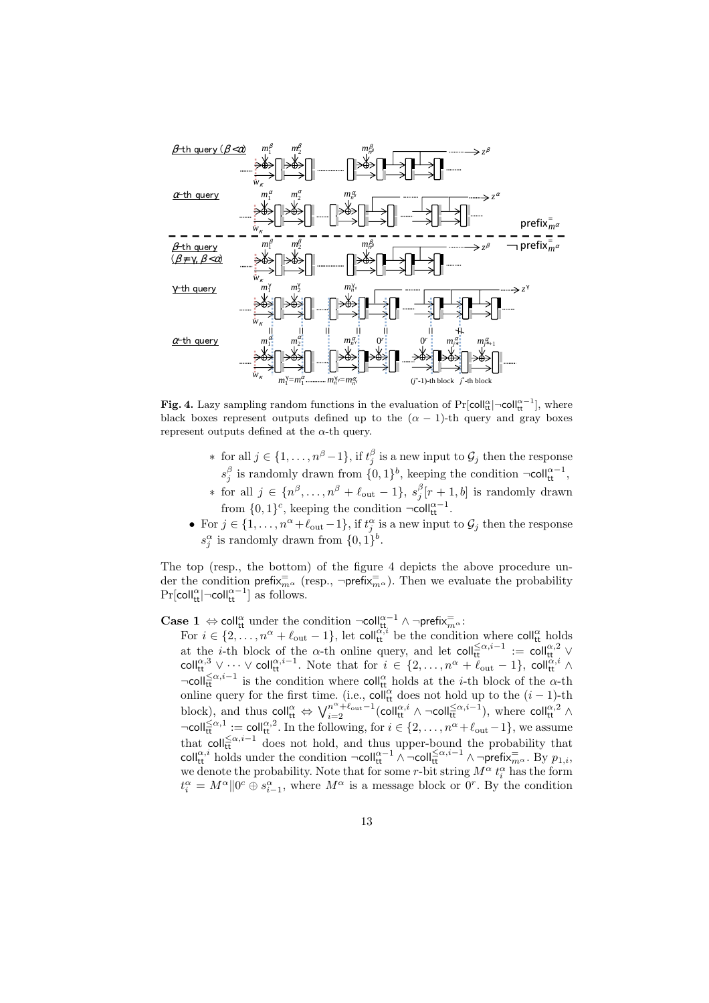

**Fig. 4.** Lazy sampling random functions in the evaluation of  $Pr[col^{\alpha}_{tt} | \neg col|^{\alpha-1}_{tt}]$ , where black boxes represent outputs defined up to the  $(\alpha - 1)$ -th query and gray boxes represent outputs defined at the *α*-th query.

- *∗* for all  $j \in \{1, \ldots, n^{\beta} 1\}$ , if  $t_j^{\beta}$  is a new input to  $\mathcal{G}_j$  then the response  $s_j^{\beta}$  is randomly drawn from  $\{0,1\}^b$ , keeping the condition  $\neg \text{coll}_{\text{tt}}^{\alpha-1}$ , *\** for all  $j \in \{n^{\beta}, \ldots, n^{\beta} + \ell_{\text{out}} - 1\}$ ,  $s_j^{\beta}[r + 1, b]$  is randomly drawn from  $\{0,1\}^c$ , keeping the condition  $\neg \text{coll}_{\text{tt}}^{\alpha-1}$ .
- For  $j \in \{1, \ldots, n^{\alpha} + \ell_{\text{out}} 1\}$ , if  $t_j^{\alpha}$  is a new input to  $\mathcal{G}_j$  then the response  $s_j^{\alpha}$  is randomly drawn from  $\{0,1\}^b$ .

The top (resp., the bottom) of the figure 4 depicts the above procedure under the condition prefix<sup>*=*π</sup>α (resp., ¬prefix<sup>*=*πα</sup>). Then we evaluate the probability  $Pr[\text{coll}_{\text{tt}}^{\alpha}| \neg \text{coll}_{\text{tt}}^{\alpha-1}]$  as follows.

**Case 1**  $\Leftrightarrow$  coll<sup>α</sup><sup>*tt*</sup> under the condition  $\neg$ coll<sup>α $\pi$ -1</sup>  $\land$   $\neg$ prefix $\overline{m}$ <sup>α</sup> :

For  $i \in \{2, \ldots, n^{\alpha} + \ell_{\text{out}} - 1\}$ , let coll $\alpha_i^{i,i}$  be the condition where coll<sub>u</sub>at holds at the *i*-th block of the *α*-th online query, and let  $\text{coll}_{\text{tt}}^{\leq \alpha, i-1} := \text{coll}_{\text{tt}}^{\alpha, 2}$   $\vee$  $\text{coll}_{\text{tt}}^{\alpha,3} \vee \cdots \vee \text{coll}_{\text{tt}}^{\alpha,i-1}$ . Note that for  $i \in \{2,\ldots,n^{\alpha}+\ell_{\text{out}}-1\}$ , coll $\overset{\alpha,i}{\text{at}} \wedge$  $\neg$ coll<sub>tt</sub>  $\leq$ α,*i*<sup>-1</sup> is the condition where coll<sup>α</sup><sub>tt</sub> holds at the *i*-th block of the α-th online query for the first time. (i.e.,  $\text{coll}_{\text{tt}}^{\alpha}$  does not hold up to the  $(i-1)$ -th block), and thus  $\text{coll}_{tt}^{\alpha} \Leftrightarrow \bigvee_{i=2}^{n^{\alpha}+\ell_{\text{out}}-1} (\text{coll}_{tt}^{\alpha,i} \wedge \neg \text{coll}_{tt}^{\leq \alpha,i-1}),$  where  $\text{coll}_{tt}^{\alpha,2} \wedge$  $\neg \text{coll}_{\text{tt}}^{\leq \alpha,1} := \text{coll}_{\text{tt}}^{\alpha,2}$ . In the following, for  $i \in \{2,\ldots,n^{\alpha}+\ell_{\text{out}}-1\}$ , we assume that  $\text{coll}_{\text{tt}}^{\leq \alpha, i-1}$  does not hold, and thus upper-bound the probability that coll $_{tt}^{\alpha,i}$  holds under the condition  $\neg$ coll $_{tt}^{\alpha-1}$   $\wedge \neg$ coll $_{tt}^{\leq \alpha,i-1}$   $\wedge \neg$ prefix $_{m\alpha}^{\equiv}$ . By  $p_{1,i}$ , we denote the probability. Note that for some *r*-bit string  $M^{\alpha} t_i^{\alpha}$  has the form  $t_i^{\alpha} = M^{\alpha} \| 0^c \oplus s_{i-1}^{\alpha}$ , where  $M^{\alpha}$  is a message block or 0<sup>*r*</sup>. By the condition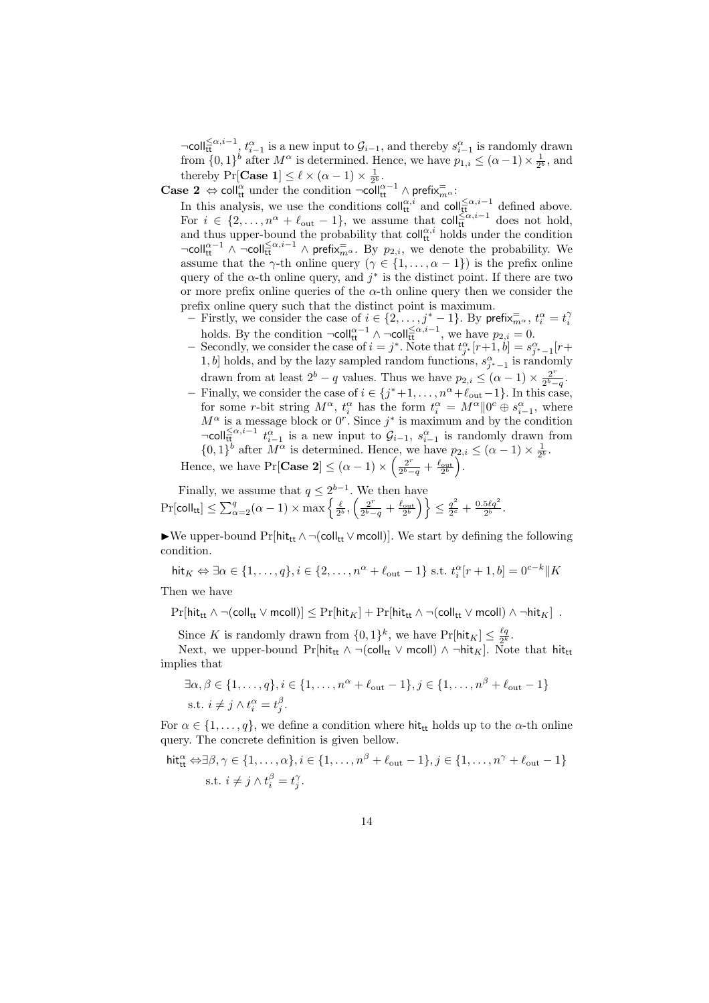$\sim$  $\text{col} \bigg[\frac{\text{S}}{\text{at}} \alpha, i-1, t^{\alpha}_{i-1} \text{ is a new input to } \mathcal{G}_{i-1}, \text{ and thereby } s^{\alpha}_{i-1} \text{ is randomly drawn in } \mathcal{G}_{i-1} \text{ is a non-constant.} \bigg]$ from  $\{0,1\}^b$  after  $M^{\alpha}$  is determined. Hence, we have  $p_{1,i} \leq (\alpha - 1) \times \frac{1}{2^b}$ , and thereby  $Pr[\text{Case 1}] \leq \ell \times (\alpha - 1) \times \frac{1}{2^b}$ .

**Case 2**  $\Leftrightarrow$  coll<sup> $\alpha$ </sup><sub>tt</sub> under the condition  $\neg$ coll $\alpha$ <sup>*α*-1</sup>  $\land$  prefix $\overline{\pi}$ <sup>*α*</sup> :

In this analysis, we use the conditions  $\text{coll}_{\text{tt}}^{\alpha,i}$  and  $\text{coll}_{\text{tt}}^{\leq \alpha,i-1}$  defined above. For  $i \in \{2, ..., n^{\alpha} + \ell_{\text{out}} - 1\}$ , we assume that coll $\zeta^{\alpha, i-1}$  does not hold, and thus upper-bound the probability that  $\text{coll}_{\text{tt}}^{\alpha,i}$  holds under the condition  $\neg$ coll<sub>tt</sub>  $\wedge$   $\neg$ coll<sub>tt</sub>  $\leq$   $\alpha$ ,*i*−1</sub>  $\wedge$  prefix $\equiv$ <sup>π</sup>α $\therefore$  By *p*<sub>2*,i*</sub>, we denote the probability. We assume that the *γ*-th online query ( $\gamma \in \{1, \ldots, \alpha - 1\}$ ) is the prefix online query of the  $\alpha$ -th online query, and  $j^*$  is the distinct point. If there are two or more prefix online queries of the *α*-th online query then we consider the prefix online query such that the distinct point is maximum.

Firstly, we consider the case of  $i \in \{2, ..., j^* - 1\}$ . By prefix $\overline{m}_{\alpha}$ ,  $t_i^{\alpha} = t_i^{\gamma}$  holds. By the condition  $\neg \text{coll}_{\text{tt}}^{\alpha-1} \wedge \neg \text{coll}_{\text{tt}}^{\text{in}}$ , we have  $p_{2,i} = 0$ .

- $\bullet$  Secondly, we consider the case of  $i = j^*$ . Note that  $t^{\alpha}_{j^*}[r+1, b] = s^{\alpha}_{j^*-1}[r+1]$ 1*, b*] holds, and by the lazy sampled random functions,  $s_{j^* - 1}^\alpha$  is randomly drawn from at least  $2^b - q$  values. Thus we have  $p_{2,i} \leq (\alpha - 1) \times \frac{2^r}{2^b - 1}$  $rac{2^b}{2^b-q}$ .
- **–** Finally, we consider the case of *i ∈ {j <sup>∗</sup>*+1*, . . . , n<sup>α</sup>*+*ℓ*out*−*1*}*. In this case, for some *r*-bit string  $M^{\alpha}$ ,  $t_i^{\alpha}$  has the form  $t_i^{\alpha} = M^{\alpha} || 0^c \oplus s_{i-1}^{\alpha}$ , where  $M^{\alpha}$  is a message block or  $0^{r}$ . Since  $j^*$  is maximum and by the condition  $\pi$ coll<sub>it</sub>  $\alpha$ <sup>*x*</sup><sup>*a*</sup><sub>*i*</sub><sup>*−1*</sup> *t*<sup>α</sup><sub>*i*</sub><sup>*−1*</sup> *t*<sup>α</sup><sub>*i*</sub><sup>*−1*</sup> *t*<sup>α</sup><sub>*i*</sub><sup>*−1*</sup> *t*<sup>α</sup><sub>*i*</sub><sup>*−1*</sup> *t*<sup>α</sup><sub>*i*</sub>*−1*</sup> *d*<sup>*n*</sup> *d*<sup>*n*</sup><sup>*1*</sup> *d*<sup>*n*</sup><sup>*1*</sup> *d*<sup>*1*</sup> *d*<sup>*1*</sup>  $\{0,1\}^b$  after  $M^{\alpha}$  is determined. Hence, we have  $p_{2,i} \leq (\alpha - 1) \times \frac{1}{2^b}$ .

Hence, we have  $Pr[\text{Case 2}] \leq (\alpha - 1) \times \left(\frac{2^r}{2^b - q} + \frac{\ell_{\text{out}}}{2^b}\right)$  $\left(\frac{2^r}{2^b-a}+\frac{\ell_{\text{out}}}{2^b}\right)^r$ 

Finally, we assume that  $q \leq 2^{b-1}$ . We then have  $\Pr[\text{coll}_{\text{tt}}] \leq \sum_{\alpha=2}^{q} (\alpha-1) \times \max\left\{\frac{\ell}{2^b}, \left(\frac{2^b}{2^b - 1}\right)\right\}$  $\left\{\frac{2^r}{2^b-q}+\frac{\ell_{\text{out}}}{2^b}\right\}\right\} \leq \frac{q^2}{2^c}$  $\frac{q^2}{2^c} + \frac{0.5\ell q^2}{2^b}$  $rac{b\ell q}{2^b}$ .

 $\blacktriangleright$  We upper-bound Pr[hit<sub>tt</sub>  $\land \neg(\text{coll}_{tt} \lor \text{mcoll})$ ]. We start by defining the following condition.

hit $K \Leftrightarrow \exists \alpha \in \{1, ..., q\}, i \in \{2, ..., n^{\alpha} + \ell_{\text{out}} - 1\} \text{ s.t. } t_i^{\alpha}[r+1, b] = 0^{c-k} \|K\|$ 

Then we have

 $Pr[hit_{tt} \wedge \neg (coll_{tt} \vee \text{mcoll})] \leq Pr[hit_{K}] + Pr[hit_{tt} \wedge \neg (coll_{tt} \vee \text{mcoll}) \wedge \neg hit_{K}]$ .

Since *K* is randomly drawn from  $\{0,1\}^k$ , we have  $\Pr[\text{hit}_K] \leq \frac{\ell q}{2^k}$  $rac{\ell q}{2^k}$ .

Next, we upper-bound Pr[hit<sub>tt</sub>  $\land \neg$ (coll<sub>tt</sub>  $\lor$  mcoll)  $\land \neg$ hit<sub>K</sub>]. Note that hit<sub>tt</sub> implies that

$$
\exists \alpha, \beta \in \{1, \dots, q\}, i \in \{1, \dots, n^{\alpha} + \ell_{\text{out}} - 1\}, j \in \{1, \dots, n^{\beta} + \ell_{\text{out}} - 1\}
$$
  
s.t.  $i \neq j \land t_i^{\alpha} = t_j^{\beta}$ .

For  $\alpha \in \{1, \ldots, q\}$ , we define a condition where hit<sub>tt</sub> holds up to the  $\alpha$ -th online query. The concrete definition is given bellow.

$$
\mathsf{hit}_{\mathsf{tt}}^{\alpha} \Leftrightarrow \exists \beta, \gamma \in \{1, \dots, \alpha\}, i \in \{1, \dots, n^{\beta} + \ell_{\mathsf{out}} - 1\}, j \in \{1, \dots, n^{\gamma} + \ell_{\mathsf{out}} - 1\}
$$
\n
$$
\text{s.t. } i \neq j \land t_i^{\beta} = t_j^{\gamma}.
$$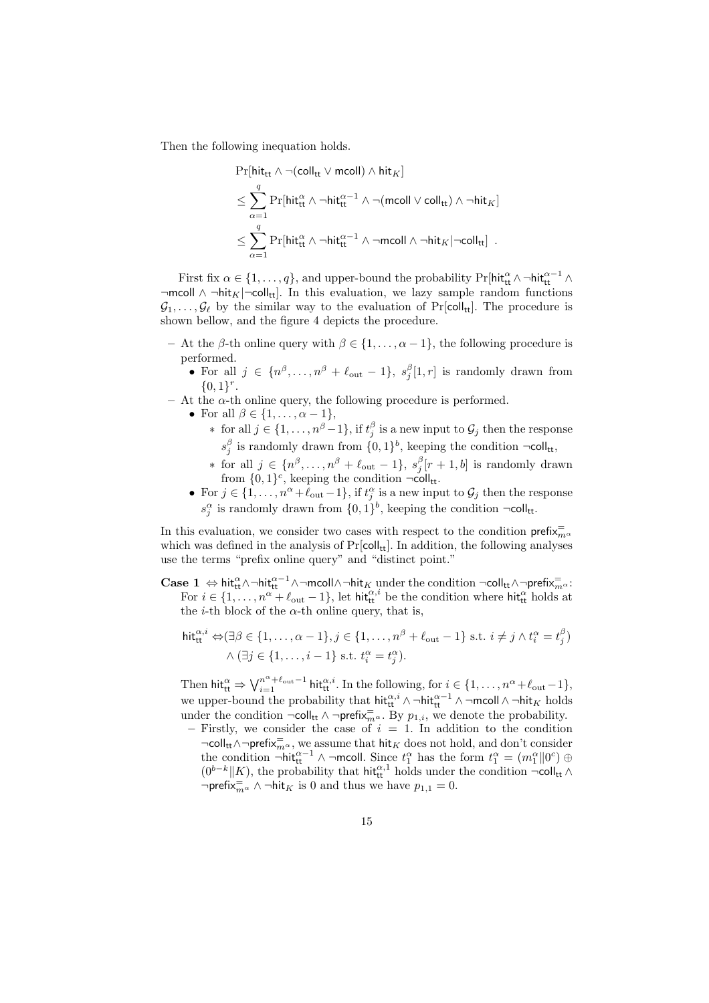Then the following inequation holds.

$$
\Pr[\text{hit}_{\text{tt}} \wedge \neg(\text{coll}_{\text{tt}} \vee \text{mcoll}) \wedge \text{hit}_{K}]
$$
\n
$$
\leq \sum_{\alpha=1}^{q} \Pr[\text{hit}_{\text{tt}}^{\alpha} \wedge \neg \text{hit}_{\text{tt}}^{\alpha-1} \wedge \neg(\text{mcoll} \vee \text{coll}_{\text{tt}}) \wedge \neg \text{hit}_{K}]
$$
\n
$$
\leq \sum_{\alpha=1}^{q} \Pr[\text{hit}_{\text{tt}}^{\alpha} \wedge \neg \text{hit}_{\text{tt}}^{\alpha-1} \wedge \neg \text{mcoll} \wedge \neg \text{hit}_{K} | \neg \text{coll}_{\text{tt}}] .
$$

First fix  $\alpha \in \{1, \ldots, q\}$ , and upper-bound the probability Pr[hit $_{tt}^{\alpha} \wedge \neg$ hit $_{tt}^{\alpha-1} \wedge$ ¬mcoll ∧ ¬hit<sub>K</sub>|¬coll<sub>tt</sub>]. In this evaluation, we lazy sample random functions  $\mathcal{G}_1, \ldots, \mathcal{G}_\ell$  by the similar way to the evaluation of  $Pr[coll_{tt}]$ . The procedure is shown bellow, and the figure 4 depicts the procedure.

- **–** At the *β*-th online query with *β ∈ {*1*, . . . , α −* 1*}*, the following procedure is performed.
	- For all  $j \in \{n^{\beta}, \ldots, n^{\beta} + \ell_{\text{out}} 1\}$ ,  $s_j^{\beta}[1, r]$  is randomly drawn from *{*0*,* 1*} r* .
- **–** At the *α*-th online query, the following procedure is performed.
	- *•* For all *β ∈ {*1*, . . . , α −* 1*}*,
		- *∗* for all  $j \in \{1, \ldots, n^{\beta} 1\}$ , if  $t_j^{\beta}$  is a new input to  $\mathcal{G}_j$  then the response  $s_j^{\beta}$  is randomly drawn from  $\{0,1\}^b$ , keeping the condition  $\neg \text{coll}_{\text{tt}}$ ,
		- *\** for all  $j \in \{n^{\beta}, \ldots, n^{\beta} + \ell_{\text{out}} 1\}$ ,  $s_j^{\beta}[r + 1, b]$  is randomly drawn from  $\{0,1\}^c$ , keeping the condition  $\neg$ coll<sub>tt</sub>.
	- For  $j \in \{1, \ldots, n^{\alpha} + \ell_{\text{out}} 1\}$ , if  $t_j^{\alpha}$  is a new input to  $\mathcal{G}_j$  then the response  $s_j^{\alpha}$  is randomly drawn from  $\{0,1\}^b$ , keeping the condition  $\neg \text{coll}_{\text{tt}}$ .

In this evaluation, we consider two cases with respect to the condition  $\mathsf{prefix}_{m\alpha}^{=}$ which was defined in the analysis of  $Pr[col|_{tt}]$ . In addition, the following analyses use the terms "prefix online query" and "distinct point."

 $\textbf{Case 1} \Leftrightarrow \textsf{hit}^\alpha_\textsf{tt} \wedge \neg \textsf{hit}^{\alpha-1} \wedge \neg \textsf{mcoll} \wedge \neg \textsf{hit}_K$  under the condition  $\neg \textsf{coll}_\textsf{tt} \wedge \neg \textsf{prefix}^=_{m^\alpha}$ : For  $i \in \{1, \ldots, n^{\alpha} + \ell_{\text{out}} - 1\}$ , let hit $\mathfrak{t}_{\mathsf{tt}}^{\alpha,i}$  be the condition where hit $\mathfrak{t}_{\mathsf{tt}}^{\alpha}$  holds at the *i*-th block of the  $\alpha$ -th online query, that is,

$$
\mathsf{hit}_{\mathsf{tt}}^{\alpha,i} \Leftrightarrow (\exists \beta \in \{1,\dots,\alpha-1\}, j \in \{1,\dots,n^{\beta}+\ell_{\text{out}}-1\} \text{ s.t. } i \neq j \land t_i^{\alpha} = t_j^{\beta})
$$

$$
\land (\exists j \in \{1,\dots,i-1\} \text{ s.t. } t_i^{\alpha} = t_j^{\alpha}).
$$

Then  $\mathsf{hit}^{\alpha}_{\mathsf{tt}} \Rightarrow \bigvee_{i=1}^{n^{\alpha}+\ell_{\text{out}}-1} \mathsf{hit}^{\alpha,i}_{\mathsf{tt}}$ . In the following, for  $i \in \{1,\ldots,n^{\alpha}+\ell_{\text{out}}-1\}$ , we upper-bound the probability that  $\mathsf{hit}^{\alpha,i}_\mathsf{tt} \wedge \neg \mathsf{hit}^{\alpha-1}_\mathsf{tt} \wedge \neg \mathsf{modl} \wedge \neg \mathsf{hit}_K$  holds under the condition  $\neg \text{coll}_{tt} \wedge \neg \text{prefix}_{m\alpha}^{\equiv}$ . By  $p_{1,i}$ , we denote the probability.

 $-$  Firstly, we consider the case of  $i = 1$ . In addition to the condition  $\neg$ coll<sub>tt</sub>∧¬prefix<sup>*=*</sup><sub>*m*<sup>α</sup></sub>, we assume that hit<sub>*K*</sub> does not hold, and don't consider the condition  $\neg$ hit $^{\alpha-1}_{tt}$   $\wedge \neg$ mcoll. Since  $t_1^{\alpha}$  has the form  $t_1^{\alpha} = (m_1^{\alpha} \| 0^c) \oplus$  $(0^{b-k}$ <sup>*∥K*</sup>), the probability that hit<sub>t</sub><sup>α,1</sup> holds under the condition  $\neg$ coll<sub>tt</sub> *∧*  $\neg$ **prefix** $\overline{m}^{\alpha}$   $\wedge$   $\neg$ **hit**<sub>K</sub> is 0 and thus we have  $p_{1,1} = 0$ .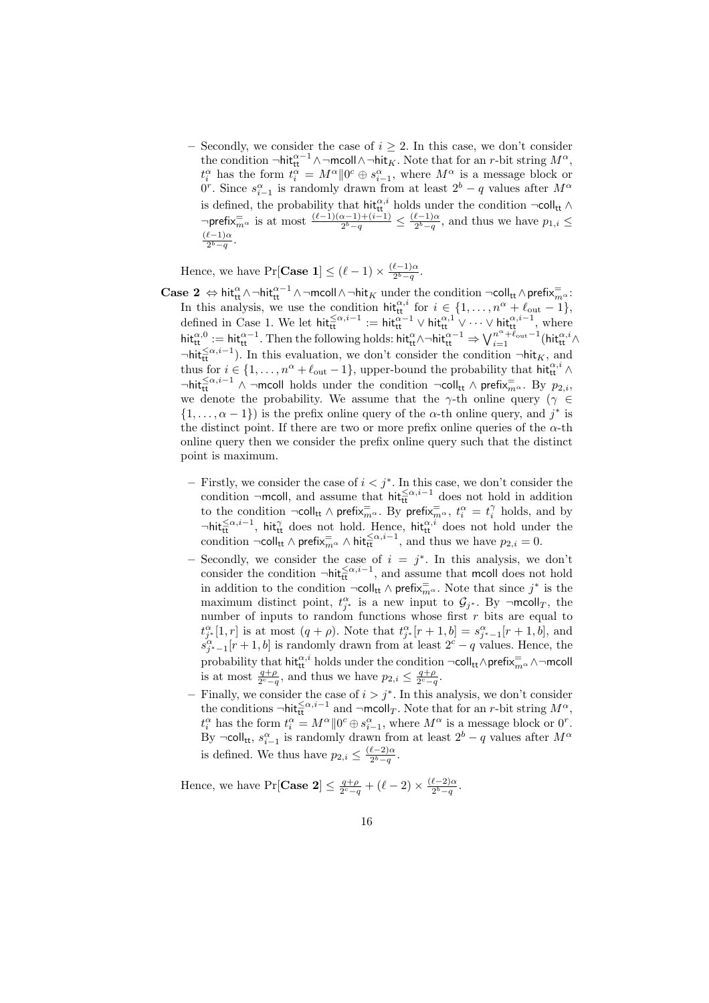**–** Secondly, we consider the case of *i ≥* 2. In this case, we don't consider the condition  $\neg$ hit $\mathfrak{t}_{\mathfrak{t} \mathfrak{t}}^{\alpha-1}$   $\wedge \neg$ mcoll $\wedge \neg$ hit $_K$ . Note that for an *r*-bit string  $M^{\alpha}$ ,  $t_i^{\alpha}$  has the form  $t_i^{\alpha} = M^{\alpha} \| 0^c \oplus s_{i-1}^{\alpha}$ , where  $M^{\alpha}$  is a message block or 0<sup>*r*</sup>. Since  $s_{i-1}^{\alpha}$  is randomly drawn from at least  $2^{b} - q$  values after  $M^{\alpha}$ is defined, the probability that  $\mathsf{hit}^{\alpha,i}_\mathsf{tt}$  holds under the condition  $\neg\mathsf{coll}_\mathsf{tt} \land$  $\neg \text{prefix}_{m^{\alpha}}^{\equiv}$  is at most  $\frac{(\ell-1)(\alpha-1)+(i-1)}{2^b-q} \le \frac{(\ell-1)\alpha}{2^b-q}$ , and thus we have  $p_{1,i} \le$  $\frac{(\ell-1)\alpha}{2^b-q}.$ 

Hence, we have  $Pr[\text{Case 1}] \leq (\ell - 1) \times \frac{(\ell - 1)\alpha}{2^b - q}.$ 

- $\textbf{Case 2} \Leftrightarrow \textsf{hit}^\alpha_\textsf{tt} \wedge \neg \textsf{hit}^{\alpha-1}_\textsf{tt} \wedge \neg \textsf{modl} \wedge \neg \textsf{hit}_K \text{ under the condition } \neg \textsf{coll}_{\textsf{tt}} \wedge \textsf{prefix}^=_{m^\alpha} \therefore$ In this analysis, we use the condition hit<sub>t</sub><sup> $\alpha$ ,*i*</sup> for  $i \in \{1, ..., n^{\alpha} + \ell_{\text{out}} - 1\}$ , defined in Case 1. We let  $\text{hit}^{\leq \alpha, i-1}_{\text{tt}} := \text{hit}^{\alpha-1}_{\text{tt}} \vee \text{hit}^{\alpha, 1}_{\text{tt}} \vee \cdots \vee \text{hit}^{\alpha, i-1}_{\text{tt}},$  where  $\int_{0}^{\infty}$  it  $\int_{0}^{\alpha}$  := hit $\int_{0}^{\alpha-1}$ . Then the following holds: hit $\int_{0}^{\alpha}$   $\wedge$ -hit $\int_{0}^{\alpha-1}$   $\Rightarrow$   $\int_{i=1}^{n^{\alpha}+\ell_{\text{out}}-1}$  (hit $\int_{0}^{\alpha,i}$   $\wedge$ *→hit*<sub>tt</sub><sup>≤α,*i*-1</sup></sub>. In this evaluation, we don't consider the condition *→hit<sub>K</sub>*, and thus for  $i \in \{1, \ldots, n^{\alpha} + \ell_{\text{out}} - 1\}$ , upper-bound the probability that hit<sup> $\alpha, i$ </sup>  $\neg$ hit $\frac{\leq \alpha, i-1}{\text{ct}}$  ∧ ¬mcoll holds under the condition ¬coll<sub>tt</sub> ∧ prefix $\frac{1}{m}$ α. By  $p_{2,i}$ , we denote the probability. We assume that the *γ*-th online query (*γ ∈*  $\{1, \ldots, \alpha - 1\}$  is the prefix online query of the  $\alpha$ -th online query, and *j*<sup>\*</sup> is the distinct point. If there are two or more prefix online queries of the  $\alpha$ -th online query then we consider the prefix online query such that the distinct point is maximum.
	- **–** Firstly, we consider the case of *i < j<sup>∗</sup>* . In this case, we don't consider the condition  $\neg$ mcoll, and assume that hit $\frac{*α*,*i*−1}$  does not hold in addition to the condition  $\neg$ coll<sub>tt</sub>  $\wedge$  prefix $\overline{m}^{\alpha}$ . By prefix $\overline{m}^{\alpha}$ ,  $t_i^{\alpha} = t_i^{\gamma}$  holds, and by  $\neg$ hit<sub>tt</sub>  $\leq$ α,*i*<sup>−1</sup>, hit<sub>tt</sub> does not hold. Hence, hit<sub>tt</sub><sup>α,*i*</sup> does not hold under the condition  $\neg \text{coll}_{\text{tt}} \wedge \text{prefix}_{m}^{\text{+}} \wedge \text{hit}_{\text{tt}}^{\leq \alpha, i-1}$ , and thus we have  $p_{2,i} = 0$ .
	- **–** Secondly, we consider the case of *i* = *j ∗* . In this analysis, we don't consider the condition  $\neg$ hit $\frac{\leq \alpha, i-1}{t}$ , and assume that mcoll does not hold in addition to the condition  $\neg \text{coll}_{tt} \wedge \text{prefix}_{m^{\alpha}}^=$ . Note that since  $j^*$  is the maximum distinct point,  $t^{\alpha}_{j^*}$  is a new input to  $\mathcal{G}_{j^*}$ . By  $\neg \text{modl}_T$ , the number of inputs to random functions whose first *r* bits are equal to  $t_{j^*}^{\alpha}[1,r]$  is at most  $(q+\rho)$ . Note that  $t_{j^*}^{\alpha}[r+1,b] = s_{j^*-1}^{\alpha}[r+1,b]$ , and  $s^{\alpha}_{j^*-1}[r+1,b]$  is randomly drawn from at least  $2^c - q$  values. Hence, the  $\frac{1}{\pi}$  probability that  $\frac{1}{\pi}$  holds under the condition  $\neg\textsf{coll}_{\textsf{tt}} \land$  prefix  $\frac{1}{m}$ α ∧¬mcoll is at most  $\frac{q+\rho}{2^c-q}$ , and thus we have  $p_{2,i} \leq \frac{q+\rho}{2^c-q}$ .
	- **–** Finally, we consider the case of *i > j<sup>∗</sup>* . In this analysis, we don't consider the conditions  $\neg$ hit $\frac{\zeta^{\alpha, i-1}}{\tau}$  and  $\neg$ mcoll<sub>*T*</sub>. Note that for an *r*-bit string  $M^{\alpha}$ ,  $t_i^{\alpha}$  has the form  $t_i^{\alpha} = M^{\alpha} \| 0^c \oplus s_{i-1}^{\alpha}$ , where  $M^{\alpha}$  is a message block or 0<sup>*r*</sup>. By  $\neg$ coll<sub>tt</sub>,  $s_{i-1}^{\alpha}$  is randomly drawn from at least  $2^{b} - q$  values after  $M^{\alpha}$ is defined. We thus have  $p_{2,i} \leq \frac{(\ell-2)\alpha}{2^b-q}$ .

Hence, we have  $\Pr[\text{Case 2}] \leq \frac{q+\rho}{2^c-q} + (\ell-2) \times \frac{(\ell-2)\alpha}{2^b-q}.$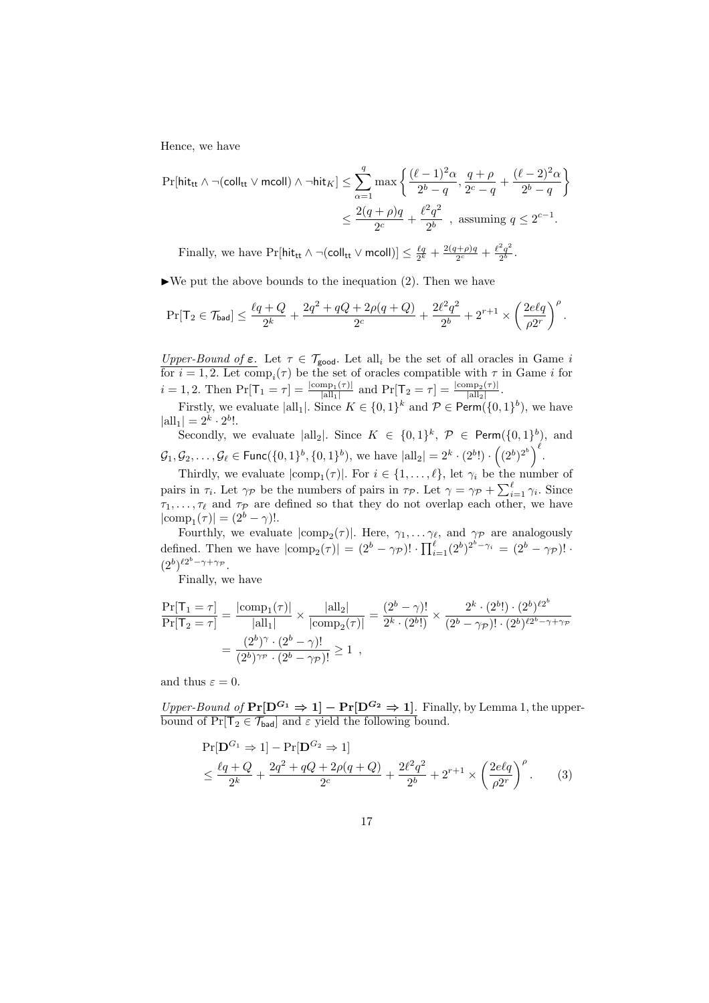Hence, we have

$$
\begin{aligned} \Pr[\mathsf{hit}_{\mathsf{tt}} \wedge \neg(\mathsf{coll}_{\mathsf{tt}} \vee \mathsf{mcoll}) \wedge \neg \mathsf{hit}_K] &\leq \sum_{\alpha=1}^q \max \left\{ \frac{(\ell-1)^2 \alpha}{2^b-q}, \frac{q+\rho}{2^c-q} + \frac{(\ell-2)^2 \alpha}{2^b-q} \right\} \\ &\leq \frac{2(q+\rho)q}{2^c} + \frac{\ell^2 q^2}{2^b} \ , \ \mathsf{assuming} \ q \leq 2^{c-1}. \end{aligned}
$$

Finally, we have  $Pr[\text{hit}_{tt} \wedge \neg(\text{coll}_{tt} \vee \text{mcoll})] \leq \frac{\ell q}{2^k}$  $\frac{\ell q}{2^k} + \frac{2(q+\rho)q}{2^c}$  $\frac{q^2 + \rho}{2^c} + \frac{\ell^2 q^2}{2^b}$  $rac{q}{2^b}$ .

 $\blacktriangleright$ We put the above bounds to the inequation (2). Then we have

$$
\Pr[\mathsf{T}_2\in\mathcal{T}_{\mathsf{bad}}]\leq \frac{\ell q+Q}{2^k}+\frac{2q^2+qQ+2\rho(q+Q)}{2^c}+\frac{2\ell^2q^2}{2^b}+2^{r+1}\times\left(\frac{2e\ell q}{\rho 2^r}\right)^\rho.
$$

*Upper-Bound of*  $\varepsilon$ . Let  $\tau \in \mathcal{T}_{\text{good}}$ . Let all<sub>i</sub> be the set of all oracles in Game *i* for  $i = 1, 2$ . Let  $\text{comp}_i(\tau)$  be the set of oracles compatible with  $\tau$  in Game *i* for  $i = 1, 2$ . Then  $Pr[T_1 = \tau] = \frac{|comp_1(\tau)|}{|all_1|}$  $\frac{\text{mp}_1(\tau)}{|\text{all}_1|}$  and  $\Pr[\mathsf{T}_2 = \tau] = \frac{|\text{comp}_2(\tau)|}{|\text{all}_2|}$  $\frac{\text{mp}_2(\tau)}{|\text{all}_2|}$ .

Firstly, we evaluate  $|all_1|$ . Since  $K \in \{0,1\}^k$  and  $\mathcal{P} \in \text{Perm}(\{0,1\}^b)$ , we have  $|all_1| = 2^k \cdot 2^b!$ .

Secondly, we evaluate  $|all_2|$ . Since  $K \in \{0,1\}^k$ ,  $P \in \text{Perm}(\{0,1\}^b)$ , and  $\mathcal{G}_1, \mathcal{G}_2, \ldots, \mathcal{G}_{\ell} \in \mathsf{Func}(\{0, 1\}^b, \{0, 1\}^b),$  we have  $|\text{all}_2| = 2^k \cdot (2^b!) \cdot \left( (2^b)^{2^b} \right)^{\ell}.$ 

Thirdly, we evaluate  $|\text{comp}_1(\tau)|$ . For  $i \in \{1, ..., \ell\}$ , let  $\gamma_i$  be the number of pairs in  $\tau_i$ . Let  $\gamma_P$  be the numbers of pairs in  $\tau_P$ . Let  $\gamma = \gamma_P + \sum_{i=1}^{\ell} \gamma_i$ . Since  $\tau_1, \ldots, \tau_\ell$  and  $\tau_P$  are defined so that they do not overlap each other, we have  $|\text{comp}_1(\tau)| = (2^b - \gamma)!$ .

Fourthly, we evaluate  $|\text{comp}_2(\tau)|$ . Here,  $\gamma_1, \ldots, \gamma_\ell$ , and  $\gamma_p$  are analogously defined. Then we have  $|\text{comp}_2(\tau)| = (2^b - \gamma_{\mathcal{P}})! \cdot \prod_{i=1}^{\ell} (2^b)^{2^b - \gamma_i} = (2^b - \gamma_{\mathcal{P}})!$ .  $(2^b)^{\ell 2^b - \gamma + \gamma_{\mathcal{P}}}$ .

Finally, we have

$$
\frac{\Pr[T_1 = \tau]}{\Pr[T_2 = \tau]} = \frac{|\text{comp}_1(\tau)|}{|\text{all}_1|} \times \frac{|\text{all}_2|}{|\text{comp}_2(\tau)|} = \frac{(2^b - \gamma)!}{2^k \cdot (2^b)!} \times \frac{2^k \cdot (2^b!) \cdot (2^b)^{\ell 2^b}}{(2^b - \gamma \tau)! \cdot (2^b)^{\ell 2^b - \gamma + \gamma \tau}}
$$

$$
= \frac{(2^b)^{\gamma} \cdot (2^b - \gamma)!}{(2^b)^{\gamma \tau} \cdot (2^b - \gamma \tau)!} \ge 1,
$$

and thus  $\varepsilon = 0$ .

*Upper-Bound of*  $Pr[D^{G_1} \Rightarrow 1] - Pr[D^{G_2} \Rightarrow 1]$ *.* Finally, by Lemma 1, the upperbound of  $Pr[T_2 \in \mathcal{T}_{bad}]$  and  $\varepsilon$  yield the following bound.

$$
\Pr[\mathbf{D}^{G_1} \Rightarrow 1] - \Pr[\mathbf{D}^{G_2} \Rightarrow 1] \n\le \frac{\ell q + Q}{2^k} + \frac{2q^2 + qQ + 2\rho(q + Q)}{2^c} + \frac{2\ell^2 q^2}{2^b} + 2^{r+1} \times \left(\frac{2e\ell q}{\rho 2^r}\right)^{\rho}.
$$
\n(3)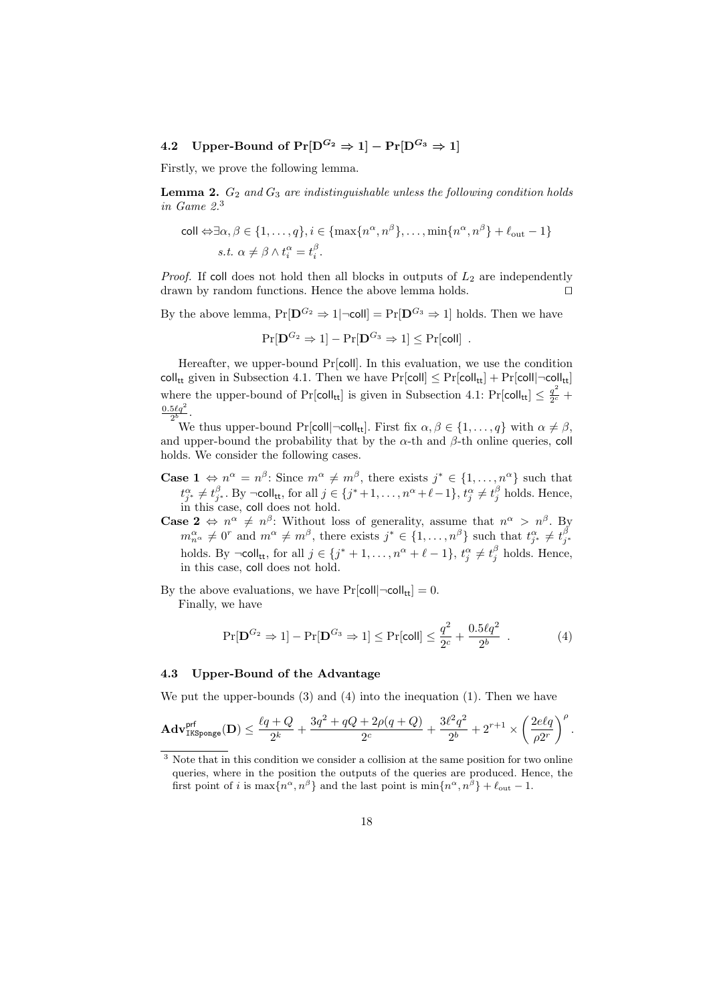**4.2 Upper-Bound of Pr[D***<sup>G</sup>***<sup>2</sup>** *<sup>⇒</sup>* **1]** *<sup>−</sup>* **Pr[D***<sup>G</sup>***<sup>3</sup>** *<sup>⇒</sup>* **1]**

Firstly, we prove the following lemma.

**Lemma 2.** *G*<sup>2</sup> *and G*<sup>3</sup> *are indistinguishable unless the following condition holds in Game 2.*<sup>3</sup>

$$
\begin{aligned}\n\text{coll} \Leftrightarrow & \exists \alpha, \beta \in \{1, \dots, q\}, i \in \{\max\{n^{\alpha}, n^{\beta}\}, \dots, \min\{n^{\alpha}, n^{\beta}\} + \ell_{\text{out}} - 1\} \\
& s.t. \ \alpha \neq \beta \land t_i^{\alpha} = t_i^{\beta}.\n\end{aligned}
$$

*Proof.* If coll does not hold then all blocks in outputs of  $L_2$  are independently drawn by random functions. Hence the above lemma holds. *⊓⊔*

By the above lemma,  $Pr[\mathbf{D}^{G_2} \Rightarrow 1]$   $\neg \text{coll}$  =  $Pr[\mathbf{D}^{G_3} \Rightarrow 1]$  holds. Then we have

$$
Pr[\mathbf{D}^{G_2} \Rightarrow 1] - Pr[\mathbf{D}^{G_3} \Rightarrow 1] \leq Pr[\text{coll}] .
$$

Hereafter, we upper-bound Pr[coll]. In this evaluation, we use the condition coll<sub>tt</sub> given in Subsection 4.1. Then we have  $Pr[coll] \leq Pr[coll_{tt}] + Pr[coll] \sim coll_{tt}]$ where the upper-bound of  $Pr[coll_{tt}]$  is given in Subsection 4.1:  $Pr[coll_{tt}] \leq \frac{q^2}{2c}$  $\frac{q^2}{2^c}$  +  $0.5\ell q^2$  $\frac{b\ell q^2}{2^b}$ .

We thus upper-bound  $Pr[coll|\neg coll_{tt}]$ . First fix  $\alpha, \beta \in \{1, \ldots, q\}$  with  $\alpha \neq \beta$ , and upper-bound the probability that by the  $\alpha$ -th and  $\beta$ -th online queries, coll holds. We consider the following cases.

- **Case 1**  $\Leftrightarrow n^{\alpha} = n^{\beta}$ : Since  $m^{\alpha} \neq m^{\beta}$ , there exists  $j^* \in \{1, ..., n^{\alpha}\}\$  such that  $t_{j^*}^{\alpha} \neq t_{j^*}^{\beta}$ . By  $\neg \text{coll}_{\text{tt}}$ , for all  $j \in \{j^*+1,\ldots,n^{\alpha}+\ell-1\}$ ,  $t_j^{\alpha} \neq t_j^{\beta}$  holds. Hence, in this case, coll does not hold.
- **Case 2**  $\Leftrightarrow n^{\alpha} \neq n^{\beta}$ : Without loss of generality, assume that  $n^{\alpha} > n^{\beta}$ . By  $m_{n^{\alpha}}^{\alpha} \neq 0^r$  and  $m^{\alpha} \neq m^{\beta}$ , there exists  $j^* \in \{1, ..., n^{\beta}\}\$  such that  $t_{j^*}^{\alpha} \neq t_{j^*}^{\beta}$ holds. By  $\neg \text{coll}_{\text{tt}}$ , for all  $j \in \{j^* + 1, \ldots, n^{\alpha} + \ell - 1\}$ ,  $t_j^{\alpha} \neq t_j^{\beta}$  holds. Hence, in this case, coll does not hold.
- By the above evaluations, we have  $Pr[**coll** | **~roll<sub>tt</sub>**] = 0.$ Finally, we have

$$
\Pr[\mathbf{D}^{G_2} \Rightarrow 1] - \Pr[\mathbf{D}^{G_3} \Rightarrow 1] \le \Pr[\text{coll}] \le \frac{q^2}{2^c} + \frac{0.5\ell q^2}{2^b} . \tag{4}
$$

#### **4.3 Upper-Bound of the Advantage**

We put the upper-bounds (3) and (4) into the inequation (1). Then we have

$$
\mathbf{Adv}^{\mathsf{prf}}_{\mathrm{IKSponge}}(\mathbf{D}) \leq \frac{\ell q + Q}{2^k} + \frac{3q^2 + qQ + 2\rho(q+Q)}{2^c} + \frac{3\ell^2 q^2}{2^b} + 2^{r+1} \times \left(\frac{2e\ell q}{\rho 2^r}\right)^{\rho}.
$$

<sup>&</sup>lt;sup>3</sup> Note that in this condition we consider a collision at the same position for two online queries, where in the position the outputs of the queries are produced. Hence, the first point of *i* is  $\max\{n^{\alpha}, n^{\beta}\}\$  and the last point is  $\min\{n^{\alpha}, n^{\beta}\} + \ell_{\text{out}} - 1$ .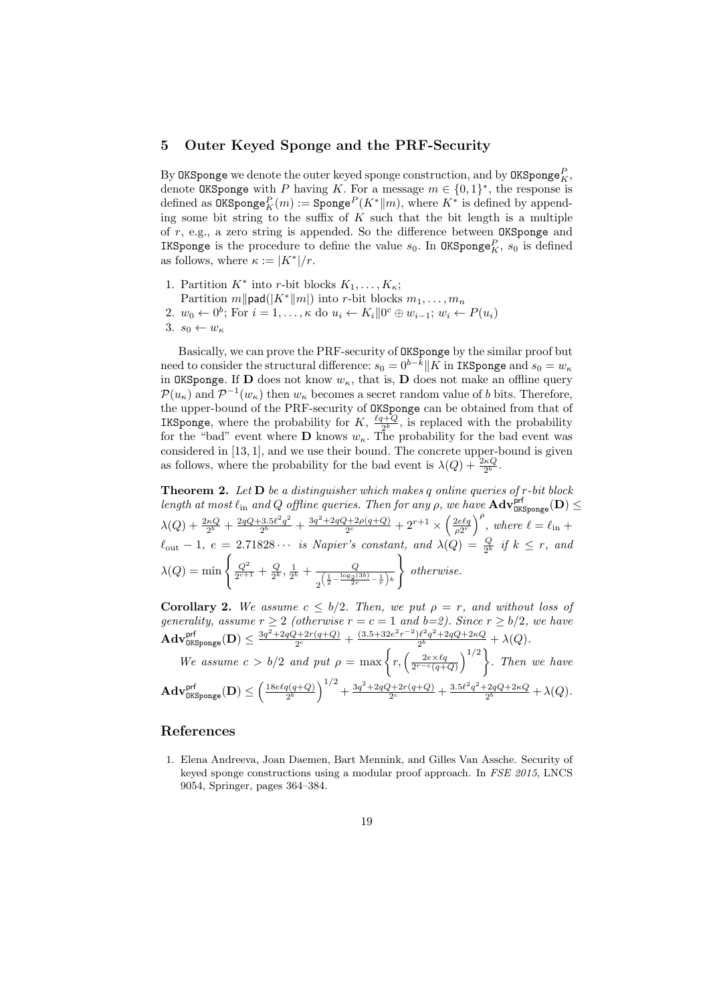#### **5 Outer Keyed Sponge and the PRF-Security**

By  ${\tt OKSponge}$  we denote the outer keyed sponge construction, and by  ${\tt OKSponge}_K^P,$ denote OKSponge with *P* having *K*. For a message  $m \in \{0,1\}^*$ , the response is defined as  $\text{OKSponge}_K^P(m) := \text{Sponge}^P(K^*||m)$ , where  $K^*$  is defined by appending some bit string to the suffix of *K* such that the bit length is a multiple of *r*, e.g., a zero string is appended. So the difference between OKSponge and IKSponge is the procedure to define the value  $s_0$ . In OKSponge<sup>P</sup><sub>K</sub>,  $s_0$  is defined as follows, where  $\kappa := |K^*|/r$ .

- 1. Partition  $K^*$  into *r*-bit blocks  $K_1, \ldots, K_\kappa$ ; Partition  $m$ *|* $p$ ad( $|K^*|m|$ ) into *r*-bit blocks  $m_1, \ldots, m_n$
- 2.  $w_0 \leftarrow 0^b$ ; For  $i = 1, ..., \kappa$  do  $u_i \leftarrow K_i || 0^c \oplus w_{i-1}; w_i \leftarrow P(u_i)$
- 3.  $s_0 \leftarrow w_{\kappa}$

Basically, we can prove the PRF-security of OKSponge by the similar proof but need to consider the structural difference:  $s_0 = 0^{b-k}$  *|K* in IKSponge and  $s_0 = w_k$ in OKSponge. If **D** does not know  $w_{\kappa}$ , that is, **D** does not make an offline query  $P(u_{\kappa})$  and  $P^{-1}(w_{\kappa})$  then  $w_{\kappa}$  becomes a secret random value of *b* bits. Therefore, the upper-bound of the PRF-security of OKSponge can be obtained from that of **IKSponge**, where the probability for  $K$ ,  $\frac{\ell q + Q}{2^k}$  $\frac{l+Q}{2^k}$ , is replaced with the probability for the "bad" event where **D** knows  $w_{\kappa}$ . The probability for the bad event was considered in [13, 1], and we use their bound. The concrete upper-bound is given as follows, where the probability for the bad event is  $\lambda(Q) + \frac{2\kappa Q}{2^b}$ .

**Theorem 2.** *Let* **D** *be a distinguisher which makes q online queries of r-bit block*  $l$ *ength at most*  $\ell_{\text{in}}$  *and*  $Q$  *offline queries. Then for any*  $\rho$ *, we have*  $\mathbf{Adv}_{\text{OKSponge}}^{\text{prf}}(\mathbf{D}) \leq$  $\lambda(Q) + \frac{2\kappa Q}{2^b} + \frac{2qQ+3.5\ell^2 q^2}{2^b}$  $\frac{3.5\ell^2q^2}{2^b} + \frac{3q^2+2qQ+2\rho(q+Q)}{2^c}$  $\frac{2h+2\rho(q+Q)}{2^c}+2^{r+1}\times\left(\frac{2e\ell q}{\rho 2^r}\right)^{\rho}, where \ell=\ell_{\rm in}+\ell_{\rm in}$  $\ell_{\text{out}} - 1$ ,  $e = 2.71828...$  *is Napier's constant, and*  $\lambda(Q) = \frac{Q}{2^k}$  *if*  $k \leq r$ , and  $\lambda(Q) = \min \bigg\{ \frac{Q^2}{2^{c+1}} + \frac{Q}{2^k} \bigg\}$  $\frac{Q}{2^k}, \frac{1}{2^b} + \frac{Q}{\left(\frac{1}{2} - \frac{\log_2(k)}{k}\right)}$ 2  $\left(\frac{1}{2} - \frac{\log_2(3b)}{2r} - \frac{1}{r}\right)k$  $\lambda$ *otherwise.*

**Corollary 2.** We assume  $c \leq b/2$ . Then, we put  $\rho = r$ , and without loss of *generality, assume*  $r \geq 2$  *(otherwise*  $r = c = 1$  *and*  $b = 2$ *). Since*  $r \geq b/2$ *, we have*  $\mathbf{Adv}_{\mathsf{OKSponge}}^{\mathsf{prf}}(\mathbf{D}) \leq \frac{3q^2 + 2qQ + 2r(q+Q)}{2^c}$  $\frac{(3.5+32e^2r^{-2})\ell^2q^2+2qQ+2\kappa Q}{2^b}$  $\frac{\partial \ell}{\partial \rho} q + 2qQ + 2\kappa Q}{2^b} + \lambda(Q).$ 

*We assume*  $c > b/2$  *and put*  $\rho = \max \left\{ r, \left( \frac{2e \times lq}{2^{r-c}(q+Q)} \right) \right\}$  $\setminus$ <sup>1/2</sup> *. Then we have*  $\mathbf{Adv}_{\texttt{OKSponge}}^{\text{prf}}(\mathbf{D}) \leq \Big(\frac{18e\ell q(q+Q)}{2^{b}}\Big)$  $\frac{q(q+Q)}{2^b}$   $\Big)^{1/2}$  +  $\frac{3q^2+2qQ+2r(q+Q)}{2^c}$  $\frac{2e^{2c}}{2c} + \frac{3.5\ell^2q^2 + 2qQ + 2\kappa Q}{2^b}$  $\frac{2qQ+2\kappa Q}{2^b} + \lambda(Q)$ .

### **References**

1. Elena Andreeva, Joan Daemen, Bart Mennink, and Gilles Van Assche. Security of keyed sponge constructions using a modular proof approach. In *FSE 2015*, LNCS 9054, Springer, pages 364–384.